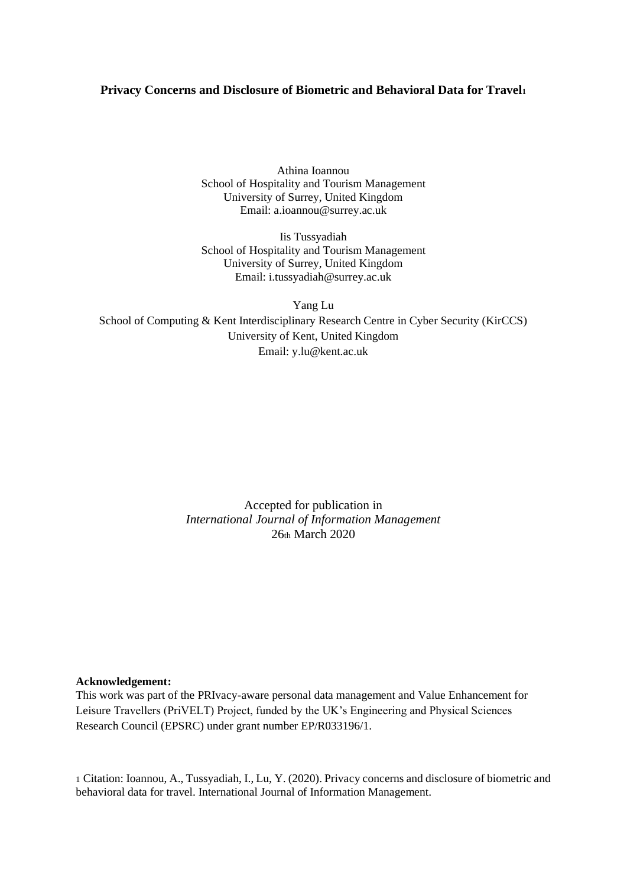# **Privacy Concerns and Disclosure of Biometric and Behavioral Data for Travel<sup>1</sup>**

Athina Ioannou School of Hospitality and Tourism Management University of Surrey, United Kingdom Email: a.ioannou@surrey.ac.uk

Iis Tussyadiah School of Hospitality and Tourism Management University of Surrey, United Kingdom Email: i.tussyadiah@surrey.ac.uk

Yang Lu School of Computing & Kent Interdisciplinary Research Centre in Cyber Security (KirCCS) University of Kent, United Kingdom Email: y.lu@kent.ac.uk

> Accepted for publication in *International Journal of Information Management* 26th March 2020

#### **Acknowledgement:**

This work was part of the PRIvacy-aware personal data management and Value Enhancement for Leisure Travellers (PriVELT) Project, funded by the UK's Engineering and Physical Sciences Research Council (EPSRC) under grant number EP/R033196/1.

1 Citation: Ioannou, A., Tussyadiah, I., Lu, Y. (2020). Privacy concerns and disclosure of biometric and behavioral data for travel. International Journal of Information Management.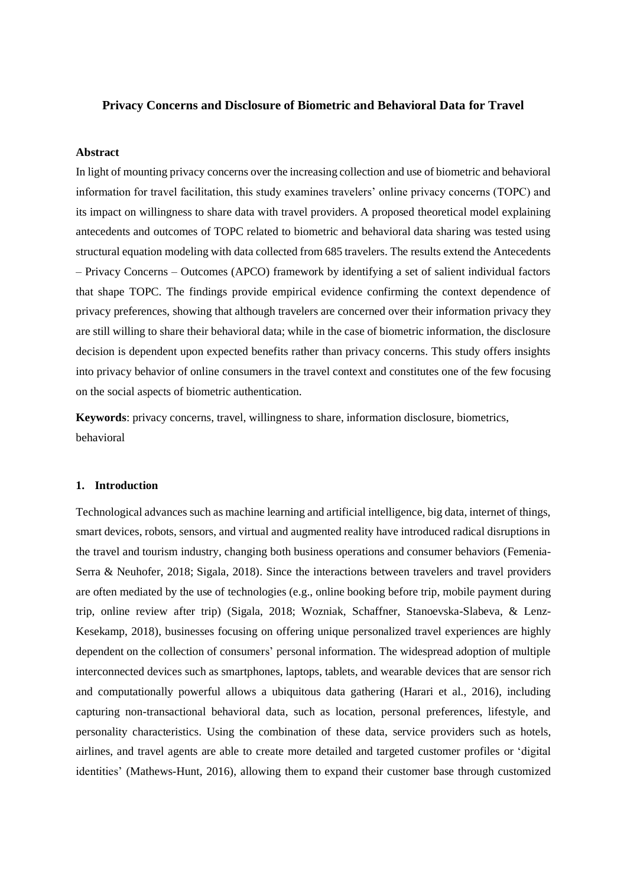## **Privacy Concerns and Disclosure of Biometric and Behavioral Data for Travel**

#### **Abstract**

In light of mounting privacy concerns over the increasing collection and use of biometric and behavioral information for travel facilitation, this study examines travelers' online privacy concerns (TOPC) and its impact on willingness to share data with travel providers. A proposed theoretical model explaining antecedents and outcomes of TOPC related to biometric and behavioral data sharing was tested using structural equation modeling with data collected from 685 travelers. The results extend the Antecedents – Privacy Concerns – Outcomes (APCO) framework by identifying a set of salient individual factors that shape TOPC. The findings provide empirical evidence confirming the context dependence of privacy preferences, showing that although travelers are concerned over their information privacy they are still willing to share their behavioral data; while in the case of biometric information, the disclosure decision is dependent upon expected benefits rather than privacy concerns. This study offers insights into privacy behavior of online consumers in the travel context and constitutes one of the few focusing on the social aspects of biometric authentication.

**Keywords**: privacy concerns, travel, willingness to share, information disclosure, biometrics, behavioral

#### **1. Introduction**

Technological advances such as machine learning and artificial intelligence, big data, internet of things, smart devices, robots, sensors, and virtual and augmented reality have introduced radical disruptions in the travel and tourism industry, changing both business operations and consumer behaviors (Femenia-Serra & Neuhofer, 2018; Sigala, 2018). Since the interactions between travelers and travel providers are often mediated by the use of technologies (e.g., online booking before trip, mobile payment during trip, online review after trip) (Sigala, 2018; Wozniak, Schaffner, Stanoevska-Slabeva, & Lenz-Kesekamp, 2018), businesses focusing on offering unique personalized travel experiences are highly dependent on the collection of consumers' personal information. The widespread adoption of multiple interconnected devices such as smartphones, laptops, tablets, and wearable devices that are sensor rich and computationally powerful allows a ubiquitous data gathering (Harari et al., 2016), including capturing non-transactional behavioral data, such as location, personal preferences, lifestyle, and personality characteristics. Using the combination of these data, service providers such as hotels, airlines, and travel agents are able to create more detailed and targeted customer profiles or 'digital identities' (Mathews-Hunt, 2016), allowing them to expand their customer base through customized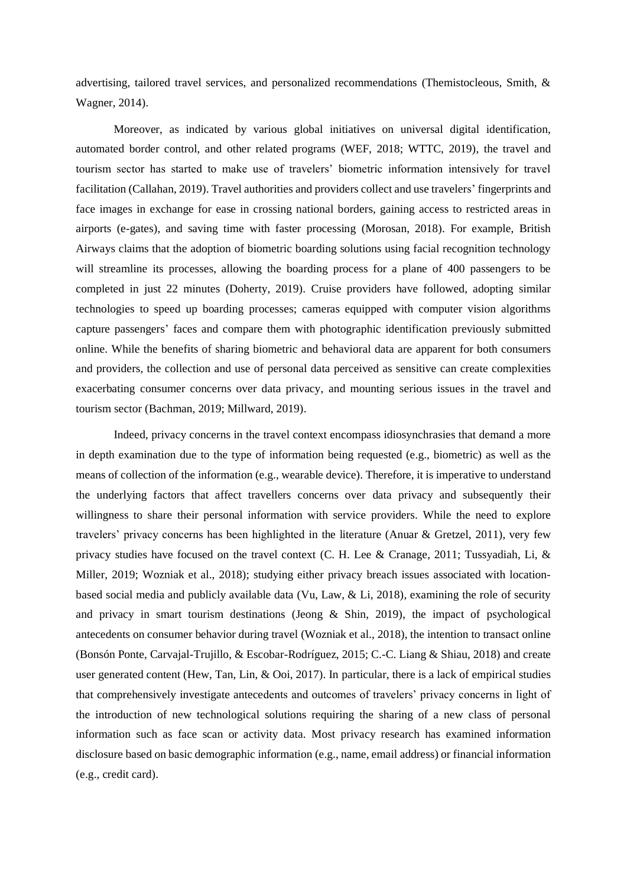advertising, tailored travel services, and personalized recommendations (Themistocleous, Smith, & Wagner, 2014).

Moreover, as indicated by various global initiatives on universal digital identification, automated border control, and other related programs (WEF, 2018; WTTC, 2019), the travel and tourism sector has started to make use of travelers' biometric information intensively for travel facilitation (Callahan, 2019). Travel authorities and providers collect and use travelers' fingerprints and face images in exchange for ease in crossing national borders, gaining access to restricted areas in airports (e-gates), and saving time with faster processing (Morosan, 2018). For example, British Airways claims that the adoption of biometric boarding solutions using facial recognition technology will streamline its processes, allowing the boarding process for a plane of 400 passengers to be completed in just 22 minutes (Doherty, 2019). Cruise providers have followed, adopting similar technologies to speed up boarding processes; cameras equipped with computer vision algorithms capture passengers' faces and compare them with photographic identification previously submitted online. While the benefits of sharing biometric and behavioral data are apparent for both consumers and providers, the collection and use of personal data perceived as sensitive can create complexities exacerbating consumer concerns over data privacy, and mounting serious issues in the travel and tourism sector (Bachman, 2019; Millward, 2019).

Indeed, privacy concerns in the travel context encompass idiosynchrasies that demand a more in depth examination due to the type of information being requested (e.g., biometric) as well as the means of collection of the information (e.g., wearable device). Therefore, it is imperative to understand the underlying factors that affect travellers concerns over data privacy and subsequently their willingness to share their personal information with service providers. While the need to explore travelers' privacy concerns has been highlighted in the literature (Anuar & Gretzel, 2011), very few privacy studies have focused on the travel context (C. H. Lee & Cranage, 2011; Tussyadiah, Li, & Miller, 2019; Wozniak et al., 2018); studying either privacy breach issues associated with locationbased social media and publicly available data (Vu, Law, & Li, 2018), examining the role of security and privacy in smart tourism destinations (Jeong & Shin, 2019), the impact of psychological antecedents on consumer behavior during travel (Wozniak et al., 2018), the intention to transact online (Bonsón Ponte, Carvajal-Trujillo, & Escobar-Rodríguez, 2015; C.-C. Liang & Shiau, 2018) and create user generated content (Hew, Tan, Lin, & Ooi, 2017). In particular, there is a lack of empirical studies that comprehensively investigate antecedents and outcomes of travelers' privacy concerns in light of the introduction of new technological solutions requiring the sharing of a new class of personal information such as face scan or activity data. Most privacy research has examined information disclosure based on basic demographic information (e.g., name, email address) or financial information (e.g., credit card).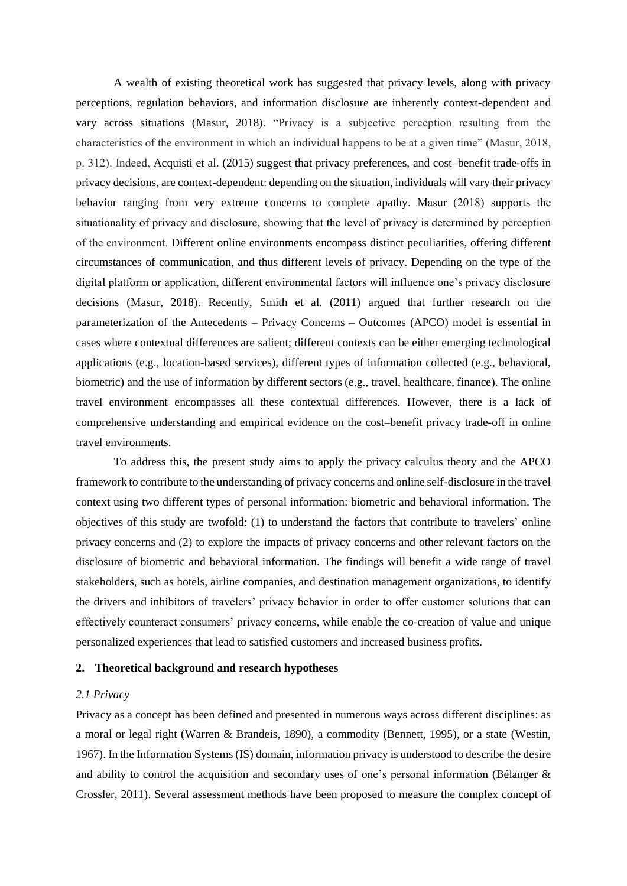A wealth of existing theoretical work has suggested that privacy levels, along with privacy perceptions, regulation behaviors, and information disclosure are inherently context-dependent and vary across situations (Masur, 2018). "Privacy is a subjective perception resulting from the characteristics of the environment in which an individual happens to be at a given time" (Masur, 2018, p. 312). Indeed, Acquisti et al. (2015) suggest that privacy preferences, and cost–benefit trade-offs in privacy decisions, are context-dependent: depending on the situation, individuals will vary their privacy behavior ranging from very extreme concerns to complete apathy. Masur (2018) supports the situationality of privacy and disclosure, showing that the level of privacy is determined by perception of the environment. Different online environments encompass distinct peculiarities, offering different circumstances of communication, and thus different levels of privacy. Depending on the type of the digital platform or application, different environmental factors will influence one's privacy disclosure decisions (Masur, 2018). Recently, Smith et al. (2011) argued that further research on the parameterization of the Antecedents – Privacy Concerns – Outcomes (APCO) model is essential in cases where contextual differences are salient; different contexts can be either emerging technological applications (e.g., location-based services), different types of information collected (e.g., behavioral, biometric) and the use of information by different sectors (e.g., travel, healthcare, finance). The online travel environment encompasses all these contextual differences. However, there is a lack of comprehensive understanding and empirical evidence on the cost–benefit privacy trade-off in online travel environments.

To address this, the present study aims to apply the privacy calculus theory and the APCO framework to contribute to the understanding of privacy concerns and online self-disclosure in the travel context using two different types of personal information: biometric and behavioral information. The objectives of this study are twofold: (1) to understand the factors that contribute to travelers' online privacy concerns and (2) to explore the impacts of privacy concerns and other relevant factors on the disclosure of biometric and behavioral information. The findings will benefit a wide range of travel stakeholders, such as hotels, airline companies, and destination management organizations, to identify the drivers and inhibitors of travelers' privacy behavior in order to offer customer solutions that can effectively counteract consumers' privacy concerns, while enable the co-creation of value and unique personalized experiences that lead to satisfied customers and increased business profits.

# **2. Theoretical background and research hypotheses**

#### *2.1 Privacy*

Privacy as a concept has been defined and presented in numerous ways across different disciplines: as a moral or legal right (Warren & Brandeis, 1890), a commodity (Bennett, 1995), or a state (Westin, 1967). In the Information Systems (IS) domain, information privacy is understood to describe the desire and ability to control the acquisition and secondary uses of one's personal information (Bélanger & Crossler, 2011). Several assessment methods have been proposed to measure the complex concept of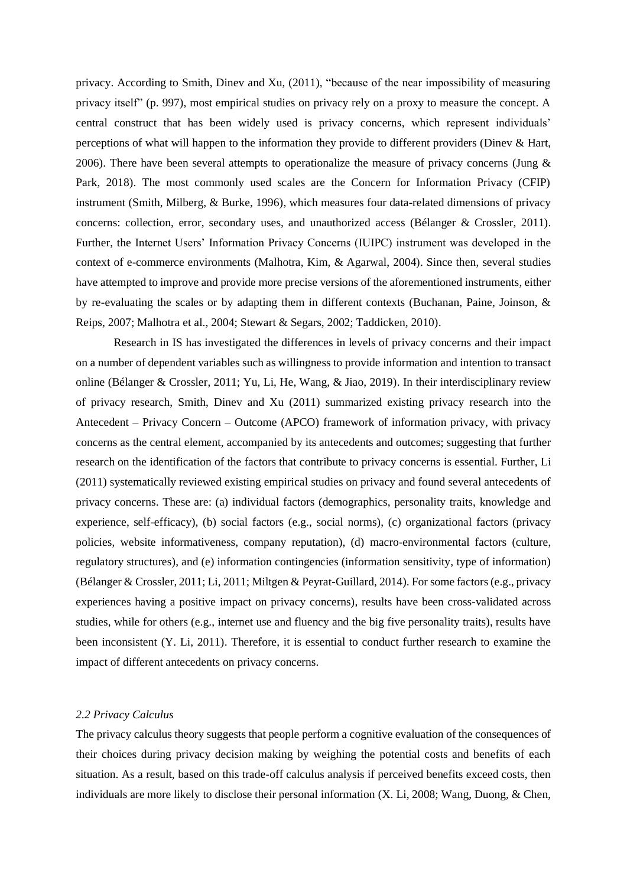privacy. According to Smith, Dinev and Xu, (2011), "because of the near impossibility of measuring privacy itself" (p. 997), most empirical studies on privacy rely on a proxy to measure the concept. A central construct that has been widely used is privacy concerns, which represent individuals' perceptions of what will happen to the information they provide to different providers (Dinev & Hart, 2006). There have been several attempts to operationalize the measure of privacy concerns (Jung  $\&$ Park, 2018). The most commonly used scales are the Concern for Information Privacy (CFIP) instrument (Smith, Milberg, & Burke, 1996), which measures four data-related dimensions of privacy concerns: collection, error, secondary uses, and unauthorized access (Bélanger & Crossler, 2011). Further, the Internet Users' Information Privacy Concerns (IUIPC) instrument was developed in the context of e-commerce environments (Malhotra, Kim, & Agarwal, 2004). Since then, several studies have attempted to improve and provide more precise versions of the aforementioned instruments, either by re-evaluating the scales or by adapting them in different contexts (Buchanan, Paine, Joinson, & Reips, 2007; Malhotra et al., 2004; Stewart & Segars, 2002; Taddicken, 2010).

Research in IS has investigated the differences in levels of privacy concerns and their impact on a number of dependent variables such as willingness to provide information and intention to transact online (Bélanger & Crossler, 2011; Yu, Li, He, Wang, & Jiao, 2019). In their interdisciplinary review of privacy research, Smith, Dinev and Xu (2011) summarized existing privacy research into the Antecedent – Privacy Concern – Outcome (APCO) framework of information privacy, with privacy concerns as the central element, accompanied by its antecedents and outcomes; suggesting that further research on the identification of the factors that contribute to privacy concerns is essential. Further, Li (2011) systematically reviewed existing empirical studies on privacy and found several antecedents of privacy concerns. These are: (a) individual factors (demographics, personality traits, knowledge and experience, self-efficacy), (b) social factors (e.g., social norms), (c) organizational factors (privacy policies, website informativeness, company reputation), (d) macro-environmental factors (culture, regulatory structures), and (e) information contingencies (information sensitivity, type of information) (Bélanger & Crossler, 2011; Li, 2011; Miltgen & Peyrat-Guillard, 2014). For some factors(e.g., privacy experiences having a positive impact on privacy concerns), results have been cross-validated across studies, while for others (e.g., internet use and fluency and the big five personality traits), results have been inconsistent (Y. Li, 2011). Therefore, it is essential to conduct further research to examine the impact of different antecedents on privacy concerns.

#### *2.2 Privacy Calculus*

The privacy calculus theory suggests that people perform a cognitive evaluation of the consequences of their choices during privacy decision making by weighing the potential costs and benefits of each situation. As a result, based on this trade-off calculus analysis if perceived benefits exceed costs, then individuals are more likely to disclose their personal information (X. Li, 2008; Wang, Duong, & Chen,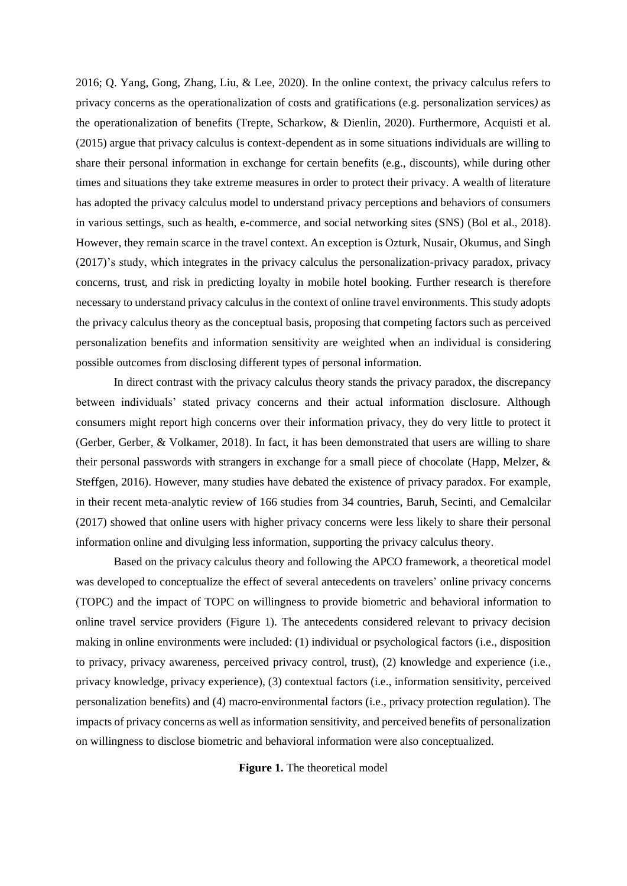2016; Q. Yang, Gong, Zhang, Liu, & Lee, 2020). In the online context, the privacy calculus refers to privacy concerns as the operationalization of costs and gratifications (e.g. personalization services*)* as the operationalization of benefits (Trepte, Scharkow, & Dienlin, 2020). Furthermore, Acquisti et al. (2015) argue that privacy calculus is context-dependent as in some situations individuals are willing to share their personal information in exchange for certain benefits (e.g., discounts), while during other times and situations they take extreme measures in order to protect their privacy. A wealth of literature has adopted the privacy calculus model to understand privacy perceptions and behaviors of consumers in various settings, such as health, e-commerce, and social networking sites (SNS) (Bol et al., 2018). However, they remain scarce in the travel context. An exception is Ozturk, Nusair, Okumus, and Singh (2017)'s study, which integrates in the privacy calculus the personalization-privacy paradox, privacy concerns, trust, and risk in predicting loyalty in mobile hotel booking. Further research is therefore necessary to understand privacy calculus in the context of online travel environments. This study adopts the privacy calculus theory as the conceptual basis, proposing that competing factors such as perceived personalization benefits and information sensitivity are weighted when an individual is considering possible outcomes from disclosing different types of personal information.

In direct contrast with the privacy calculus theory stands the privacy paradox, the discrepancy between individuals' stated privacy concerns and their actual information disclosure. Although consumers might report high concerns over their information privacy, they do very little to protect it (Gerber, Gerber, & Volkamer, 2018). In fact, it has been demonstrated that users are willing to share their personal passwords with strangers in exchange for a small piece of chocolate (Happ, Melzer, & Steffgen, 2016). However, many studies have debated the existence of privacy paradox. For example, in their recent meta-analytic review of 166 studies from 34 countries, Baruh, Secinti, and Cemalcilar (2017) showed that online users with higher privacy concerns were less likely to share their personal information online and divulging less information, supporting the privacy calculus theory.

Based on the privacy calculus theory and following the APCO framework, a theoretical model was developed to conceptualize the effect of several antecedents on travelers' online privacy concerns (TOPC) and the impact of TOPC on willingness to provide biometric and behavioral information to online travel service providers (Figure 1). The antecedents considered relevant to privacy decision making in online environments were included: (1) individual or psychological factors (i.e., disposition to privacy, privacy awareness, perceived privacy control, trust), (2) knowledge and experience (i.e., privacy knowledge, privacy experience), (3) contextual factors (i.e., information sensitivity, perceived personalization benefits) and (4) macro-environmental factors (i.e., privacy protection regulation). The impacts of privacy concerns as well as information sensitivity, and perceived benefits of personalization on willingness to disclose biometric and behavioral information were also conceptualized.

**Figure 1.** The theoretical model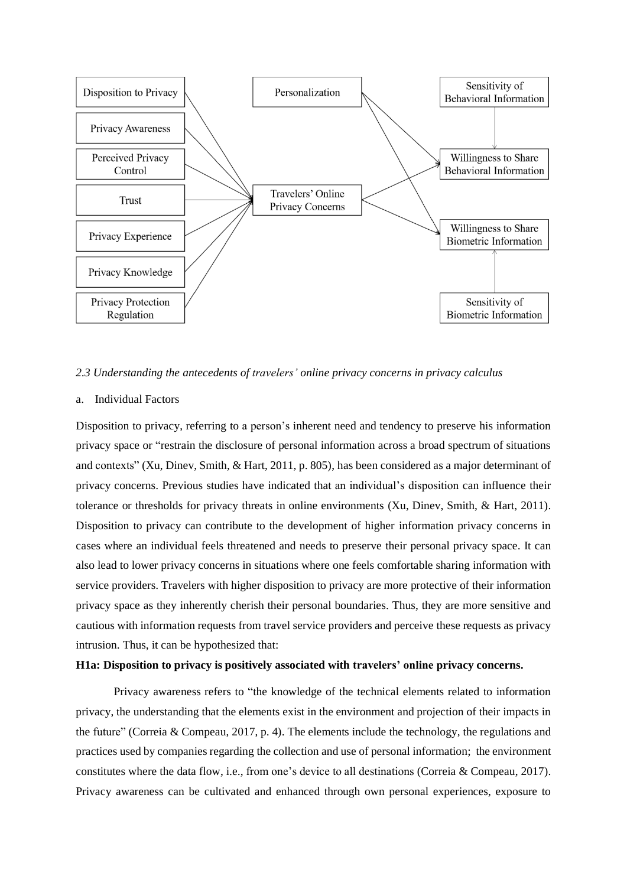

## *2.3 Understanding the antecedents of travelers' online privacy concerns in privacy calculus*

## a. Individual Factors

Disposition to privacy, referring to a person's inherent need and tendency to preserve his information privacy space or "restrain the disclosure of personal information across a broad spectrum of situations and contexts" (Xu, Dinev, Smith, & Hart, 2011, p. 805), has been considered as a major determinant of privacy concerns. Previous studies have indicated that an individual's disposition can influence their tolerance or thresholds for privacy threats in online environments (Xu, Dinev, Smith, & Hart, 2011). Disposition to privacy can contribute to the development of higher information privacy concerns in cases where an individual feels threatened and needs to preserve their personal privacy space. It can also lead to lower privacy concerns in situations where one feels comfortable sharing information with service providers. Travelers with higher disposition to privacy are more protective of their information privacy space as they inherently cherish their personal boundaries. Thus, they are more sensitive and cautious with information requests from travel service providers and perceive these requests as privacy intrusion. Thus, it can be hypothesized that:

## **H1a: Disposition to privacy is positively associated with travelers' online privacy concerns.**

Privacy awareness refers to "the knowledge of the technical elements related to information privacy, the understanding that the elements exist in the environment and projection of their impacts in the future" (Correia & Compeau, 2017, p. 4). The elements include the technology, the regulations and practices used by companies regarding the collection and use of personal information; the environment constitutes where the data flow, i.e., from one's device to all destinations (Correia & Compeau, 2017). Privacy awareness can be cultivated and enhanced through own personal experiences, exposure to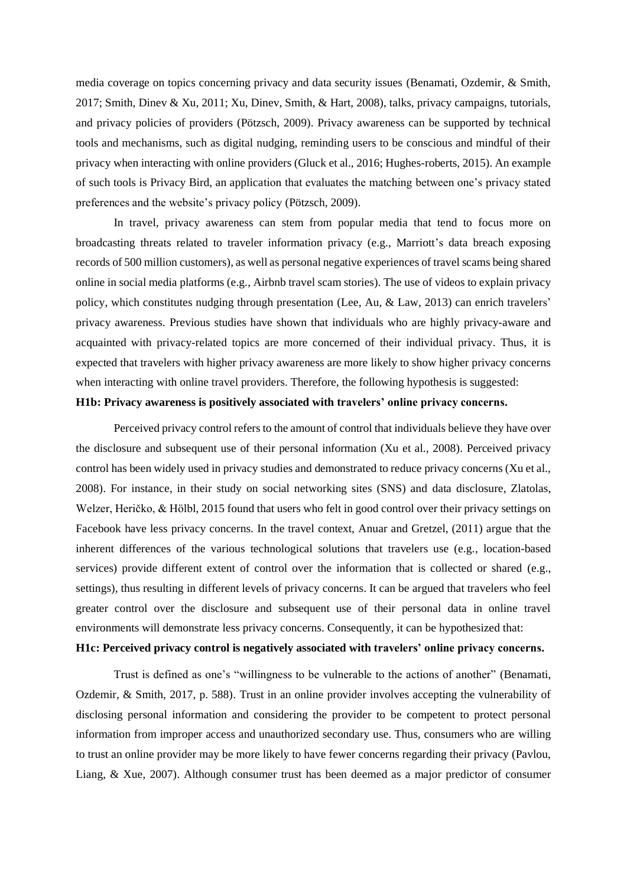media coverage on topics concerning privacy and data security issues (Benamati, Ozdemir, & Smith, 2017; Smith, Dinev & Xu, 2011; Xu, Dinev, Smith, & Hart, 2008), talks, privacy campaigns, tutorials, and privacy policies of providers (Pötzsch, 2009). Privacy awareness can be supported by technical tools and mechanisms, such as digital nudging, reminding users to be conscious and mindful of their privacy when interacting with online providers (Gluck et al., 2016; Hughes-roberts, 2015). An example of such tools is Privacy Bird, an application that evaluates the matching between one's privacy stated preferences and the website's privacy policy (Pötzsch, 2009).

In travel, privacy awareness can stem from popular media that tend to focus more on broadcasting threats related to traveler information privacy (e.g., Marriott's data breach exposing records of 500 million customers), as well as personal negative experiences of travel scams being shared online in social media platforms (e.g., Airbnb travel scam stories). The use of videos to explain privacy policy, which constitutes nudging through presentation (Lee, Au, & Law, 2013) can enrich travelers' privacy awareness. Previous studies have shown that individuals who are highly privacy-aware and acquainted with privacy-related topics are more concerned of their individual privacy. Thus, it is expected that travelers with higher privacy awareness are more likely to show higher privacy concerns when interacting with online travel providers. Therefore, the following hypothesis is suggested:

### **H1b: Privacy awareness is positively associated with travelers' online privacy concerns.**

Perceived privacy control refers to the amount of control that individuals believe they have over the disclosure and subsequent use of their personal information (Xu et al., 2008). Perceived privacy control has been widely used in privacy studies and demonstrated to reduce privacy concerns (Xu et al., 2008). For instance, in their study on social networking sites (SNS) and data disclosure, Zlatolas, Welzer, Heričko, & Hölbl, 2015 found that users who felt in good control over their privacy settings on Facebook have less privacy concerns. In the travel context, Anuar and Gretzel, (2011) argue that the inherent differences of the various technological solutions that travelers use (e.g., location-based services) provide different extent of control over the information that is collected or shared (e.g., settings), thus resulting in different levels of privacy concerns. It can be argued that travelers who feel greater control over the disclosure and subsequent use of their personal data in online travel environments will demonstrate less privacy concerns. Consequently, it can be hypothesized that:

## **H1c: Perceived privacy control is negatively associated with travelers' online privacy concerns.**

Trust is defined as one's "willingness to be vulnerable to the actions of another" (Benamati, Ozdemir, & Smith, 2017, p. 588). Trust in an online provider involves accepting the vulnerability of disclosing personal information and considering the provider to be competent to protect personal information from improper access and unauthorized secondary use. Thus, consumers who are willing to trust an online provider may be more likely to have fewer concerns regarding their privacy (Pavlou, Liang, & Xue, 2007). Although consumer trust has been deemed as a major predictor of consumer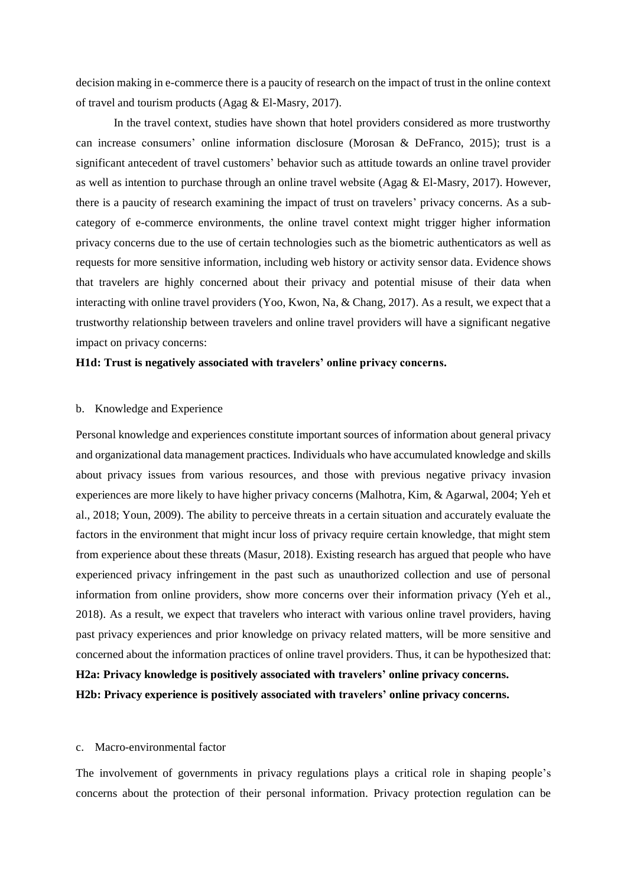decision making in e-commerce there is a paucity of research on the impact of trust in the online context of travel and tourism products (Agag & El-Masry, 2017).

In the travel context, studies have shown that hotel providers considered as more trustworthy can increase consumers' online information disclosure (Morosan & DeFranco, 2015); trust is a significant antecedent of travel customers' behavior such as attitude towards an online travel provider as well as intention to purchase through an online travel website (Agag & El-Masry, 2017). However, there is a paucity of research examining the impact of trust on travelers' privacy concerns. As a subcategory of e-commerce environments, the online travel context might trigger higher information privacy concerns due to the use of certain technologies such as the biometric authenticators as well as requests for more sensitive information, including web history or activity sensor data. Evidence shows that travelers are highly concerned about their privacy and potential misuse of their data when interacting with online travel providers (Yoo, Kwon, Na, & Chang, 2017). As a result, we expect that a trustworthy relationship between travelers and online travel providers will have a significant negative impact on privacy concerns:

## **H1d: Trust is negatively associated with travelers' online privacy concerns.**

## b. Knowledge and Experience

Personal knowledge and experiences constitute important sources of information about general privacy and organizational data management practices. Individuals who have accumulated knowledge and skills about privacy issues from various resources, and those with previous negative privacy invasion experiences are more likely to have higher privacy concerns (Malhotra, Kim, & Agarwal, 2004; Yeh et al., 2018; Youn, 2009). The ability to perceive threats in a certain situation and accurately evaluate the factors in the environment that might incur loss of privacy require certain knowledge, that might stem from experience about these threats (Masur, 2018). Existing research has argued that people who have experienced privacy infringement in the past such as unauthorized collection and use of personal information from online providers, show more concerns over their information privacy (Yeh et al., 2018). As a result, we expect that travelers who interact with various online travel providers, having past privacy experiences and prior knowledge on privacy related matters, will be more sensitive and concerned about the information practices of online travel providers. Thus, it can be hypothesized that: **H2a: Privacy knowledge is positively associated with travelers' online privacy concerns.**

**H2b: Privacy experience is positively associated with travelers' online privacy concerns.** 

#### c. Macro-environmental factor

The involvement of governments in privacy regulations plays a critical role in shaping people's concerns about the protection of their personal information. Privacy protection regulation can be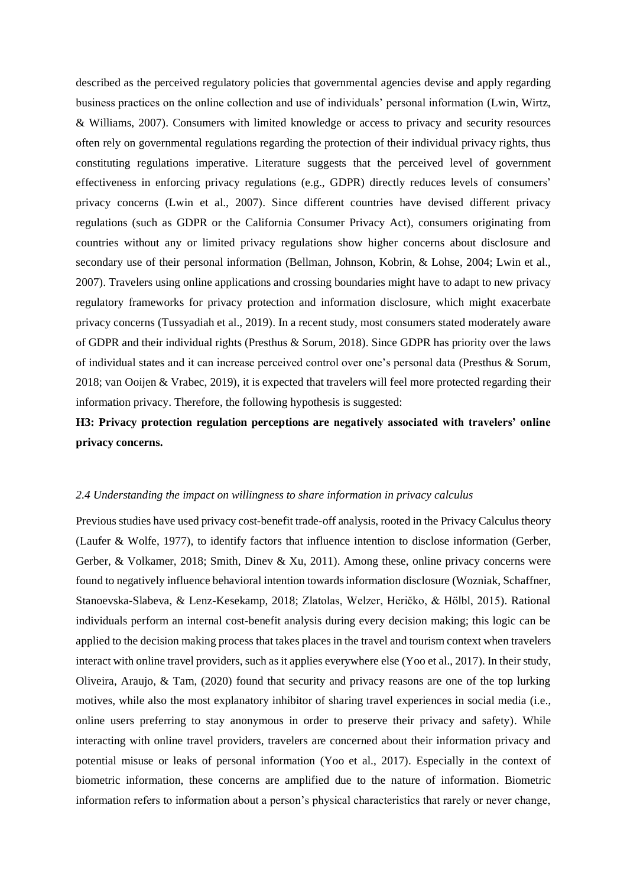described as the perceived regulatory policies that governmental agencies devise and apply regarding business practices on the online collection and use of individuals' personal information (Lwin, Wirtz, & Williams, 2007). Consumers with limited knowledge or access to privacy and security resources often rely on governmental regulations regarding the protection of their individual privacy rights, thus constituting regulations imperative. Literature suggests that the perceived level of government effectiveness in enforcing privacy regulations (e.g., GDPR) directly reduces levels of consumers' privacy concerns (Lwin et al., 2007). Since different countries have devised different privacy regulations (such as GDPR or the California Consumer Privacy Act), consumers originating from countries without any or limited privacy regulations show higher concerns about disclosure and secondary use of their personal information (Bellman, Johnson, Kobrin, & Lohse, 2004; Lwin et al., 2007). Travelers using online applications and crossing boundaries might have to adapt to new privacy regulatory frameworks for privacy protection and information disclosure, which might exacerbate privacy concerns (Tussyadiah et al., 2019). In a recent study, most consumers stated moderately aware of GDPR and their individual rights (Presthus & Sorum, 2018). Since GDPR has priority over the laws of individual states and it can increase perceived control over one's personal data (Presthus & Sorum, 2018; van Ooijen & Vrabec, 2019), it is expected that travelers will feel more protected regarding their information privacy. Therefore, the following hypothesis is suggested:

# **H3: Privacy protection regulation perceptions are negatively associated with travelers' online privacy concerns.**

#### *2.4 Understanding the impact on willingness to share information in privacy calculus*

Previous studies have used privacy cost-benefit trade-off analysis, rooted in the Privacy Calculus theory (Laufer & Wolfe, 1977), to identify factors that influence intention to disclose information (Gerber, Gerber, & Volkamer, 2018; Smith, Dinev & Xu, 2011). Among these, online privacy concerns were found to negatively influence behavioral intention towards information disclosure (Wozniak, Schaffner, Stanoevska-Slabeva, & Lenz-Kesekamp, 2018; Zlatolas, Welzer, Heričko, & Hölbl, 2015). Rational individuals perform an internal cost-benefit analysis during every decision making; this logic can be applied to the decision making process that takes places in the travel and tourism context when travelers interact with online travel providers, such as it applies everywhere else (Yoo et al., 2017). In their study, Oliveira, Araujo, & Tam, (2020) found that security and privacy reasons are one of the top lurking motives, while also the most explanatory inhibitor of sharing travel experiences in social media (i.e., online users preferring to stay anonymous in order to preserve their privacy and safety). While interacting with online travel providers, travelers are concerned about their information privacy and potential misuse or leaks of personal information (Yoo et al., 2017). Especially in the context of biometric information, these concerns are amplified due to the nature of information. Biometric information refers to information about a person's physical characteristics that rarely or never change,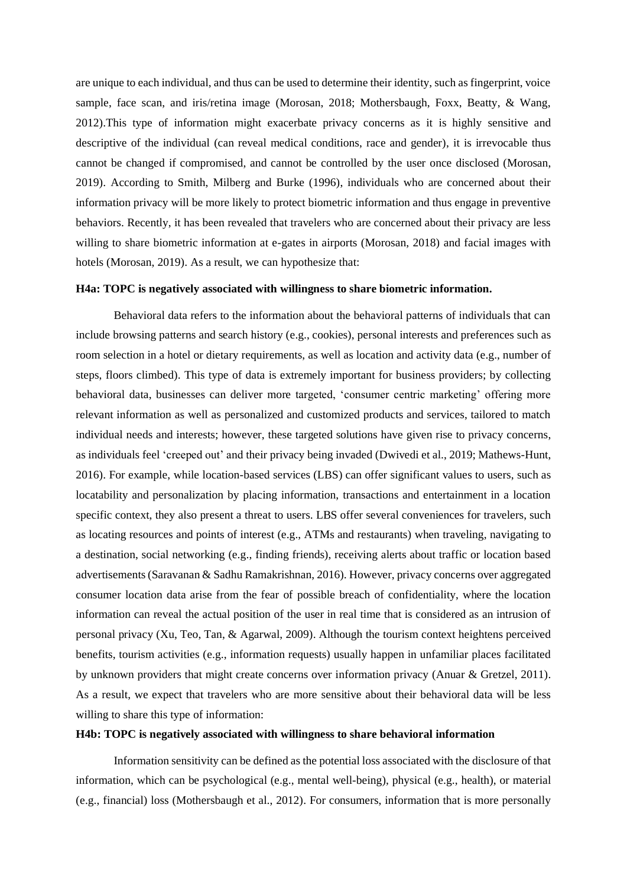are unique to each individual, and thus can be used to determine their identity, such as fingerprint, voice sample, face scan, and iris/retina image (Morosan, 2018; Mothersbaugh, Foxx, Beatty, & Wang, 2012).This type of information might exacerbate privacy concerns as it is highly sensitive and descriptive of the individual (can reveal medical conditions, race and gender), it is irrevocable thus cannot be changed if compromised, and cannot be controlled by the user once disclosed (Morosan, 2019). According to Smith, Milberg and Burke (1996), individuals who are concerned about their information privacy will be more likely to protect biometric information and thus engage in preventive behaviors. Recently, it has been revealed that travelers who are concerned about their privacy are less willing to share biometric information at e-gates in airports (Morosan, 2018) and facial images with hotels (Morosan, 2019). As a result, we can hypothesize that:

#### **H4a: TOPC is negatively associated with willingness to share biometric information.**

Behavioral data refers to the information about the behavioral patterns of individuals that can include browsing patterns and search history (e.g., cookies), personal interests and preferences such as room selection in a hotel or dietary requirements, as well as location and activity data (e.g., number of steps, floors climbed). This type of data is extremely important for business providers; by collecting behavioral data, businesses can deliver more targeted, 'consumer centric marketing' offering more relevant information as well as personalized and customized products and services, tailored to match individual needs and interests; however, these targeted solutions have given rise to privacy concerns, as individuals feel 'creeped out' and their privacy being invaded (Dwivedi et al., 2019; Mathews-Hunt, 2016). For example, while location-based services (LBS) can offer significant values to users, such as locatability and personalization by placing information, transactions and entertainment in a location specific context, they also present a threat to users. LBS offer several conveniences for travelers, such as locating resources and points of interest (e.g., ATMs and restaurants) when traveling, navigating to a destination, social networking (e.g., finding friends), receiving alerts about traffic or location based advertisements (Saravanan & Sadhu Ramakrishnan, 2016). However, privacy concerns over aggregated consumer location data arise from the fear of possible breach of confidentiality, where the location information can reveal the actual position of the user in real time that is considered as an intrusion of personal privacy (Xu, Teo, Tan, & Agarwal, 2009). Although the tourism context heightens perceived benefits, tourism activities (e.g., information requests) usually happen in unfamiliar places facilitated by unknown providers that might create concerns over information privacy (Anuar & Gretzel, 2011). As a result, we expect that travelers who are more sensitive about their behavioral data will be less willing to share this type of information:

#### **H4b: TOPC is negatively associated with willingness to share behavioral information**

Information sensitivity can be defined as the potential loss associated with the disclosure of that information, which can be psychological (e.g., mental well-being), physical (e.g., health), or material (e.g., financial) loss (Mothersbaugh et al., 2012). For consumers, information that is more personally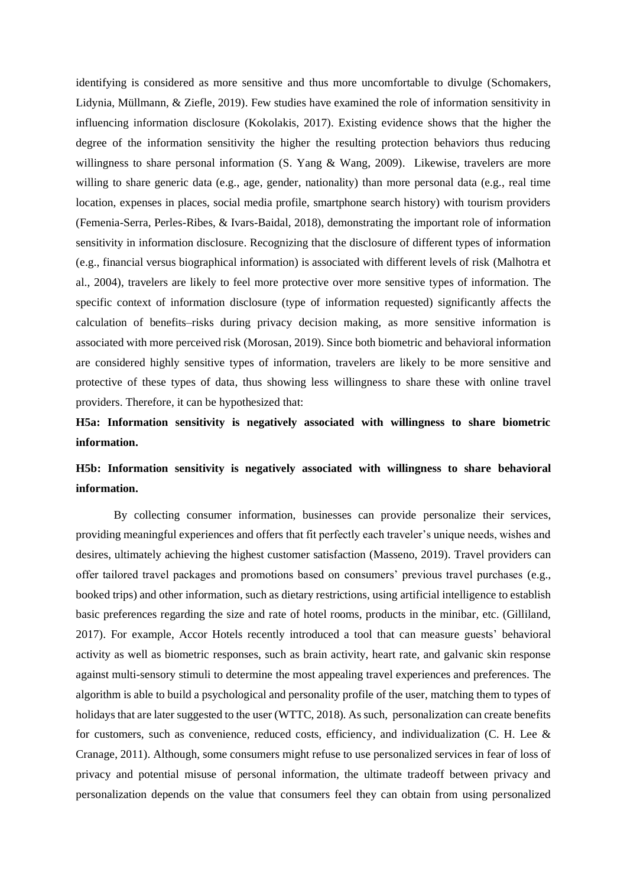identifying is considered as more sensitive and thus more uncomfortable to divulge (Schomakers, Lidynia, Müllmann, & Ziefle, 2019). Few studies have examined the role of information sensitivity in influencing information disclosure (Kokolakis, 2017). Existing evidence shows that the higher the degree of the information sensitivity the higher the resulting protection behaviors thus reducing willingness to share personal information (S. Yang & Wang, 2009). Likewise, travelers are more willing to share generic data (e.g., age, gender, nationality) than more personal data (e.g., real time location, expenses in places, social media profile, smartphone search history) with tourism providers (Femenia-Serra, Perles-Ribes, & Ivars-Baidal, 2018), demonstrating the important role of information sensitivity in information disclosure. Recognizing that the disclosure of different types of information (e.g., financial versus biographical information) is associated with different levels of risk (Malhotra et al., 2004), travelers are likely to feel more protective over more sensitive types of information. The specific context of information disclosure (type of information requested) significantly affects the calculation of benefits–risks during privacy decision making, as more sensitive information is associated with more perceived risk (Morosan, 2019). Since both biometric and behavioral information are considered highly sensitive types of information, travelers are likely to be more sensitive and protective of these types of data, thus showing less willingness to share these with online travel providers. Therefore, it can be hypothesized that:

# **H5a: Information sensitivity is negatively associated with willingness to share biometric information.**

# **H5b: Information sensitivity is negatively associated with willingness to share behavioral information.**

By collecting consumer information, businesses can provide personalize their services, providing meaningful experiences and offers that fit perfectly each traveler's unique needs, wishes and desires, ultimately achieving the highest customer satisfaction (Masseno, 2019). Travel providers can offer tailored travel packages and promotions based on consumers' previous travel purchases (e.g., booked trips) and other information, such as dietary restrictions, using artificial intelligence to establish basic preferences regarding the size and rate of hotel rooms, products in the minibar, etc. (Gilliland, 2017). For example, Accor Hotels recently introduced a tool that can measure guests' behavioral activity as well as biometric responses, such as brain activity, heart rate, and galvanic skin response against multi-sensory stimuli to determine the most appealing travel experiences and preferences. The algorithm is able to build a psychological and personality profile of the user, matching them to types of holidays that are later suggested to the user (WTTC, 2018). As such, personalization can create benefits for customers, such as convenience, reduced costs, efficiency, and individualization (C. H. Lee & Cranage, 2011). Although, some consumers might refuse to use personalized services in fear of loss of privacy and potential misuse of personal information, the ultimate tradeoff between privacy and personalization depends on the value that consumers feel they can obtain from using personalized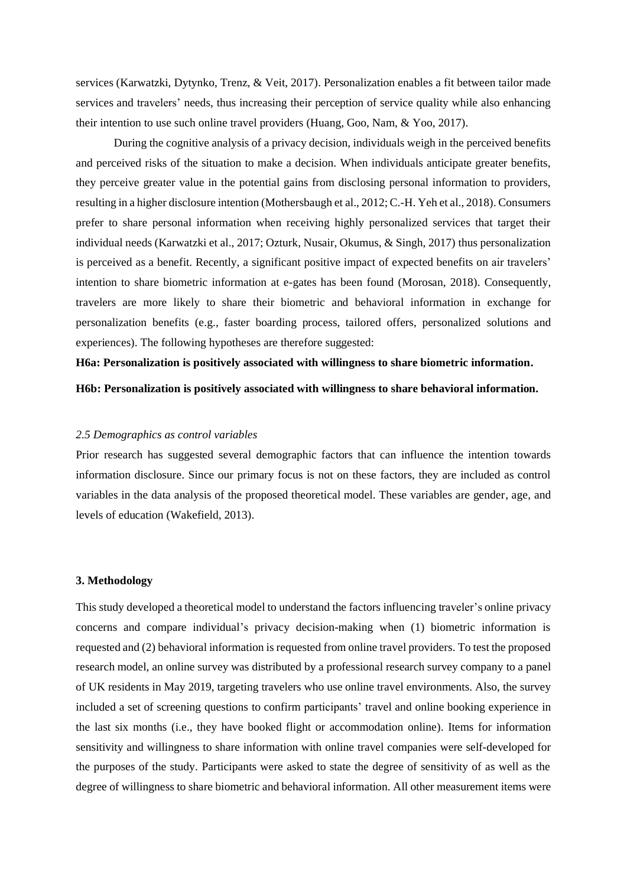services (Karwatzki, Dytynko, Trenz, & Veit, 2017). Personalization enables a fit between tailor made services and travelers' needs, thus increasing their perception of service quality while also enhancing their intention to use such online travel providers (Huang, Goo, Nam, & Yoo, 2017).

During the cognitive analysis of a privacy decision, individuals weigh in the perceived benefits and perceived risks of the situation to make a decision. When individuals anticipate greater benefits, they perceive greater value in the potential gains from disclosing personal information to providers, resulting in a higher disclosure intention (Mothersbaugh et al., 2012; C.-H. Yeh et al., 2018). Consumers prefer to share personal information when receiving highly personalized services that target their individual needs (Karwatzki et al., 2017; Ozturk, Nusair, Okumus, & Singh, 2017) thus personalization is perceived as a benefit. Recently, a significant positive impact of expected benefits on air travelers' intention to share biometric information at e-gates has been found (Morosan, 2018). Consequently, travelers are more likely to share their biometric and behavioral information in exchange for personalization benefits (e.g., faster boarding process, tailored offers, personalized solutions and experiences). The following hypotheses are therefore suggested:

**H6a: Personalization is positively associated with willingness to share biometric information.**

## **H6b: Personalization is positively associated with willingness to share behavioral information.**

## *2.5 Demographics as control variables*

Prior research has suggested several demographic factors that can influence the intention towards information disclosure. Since our primary focus is not on these factors, they are included as control variables in the data analysis of the proposed theoretical model. These variables are gender, age, and levels of education (Wakefield, 2013).

#### **3. Methodology**

This study developed a theoretical model to understand the factors influencing traveler's online privacy concerns and compare individual's privacy decision-making when (1) biometric information is requested and (2) behavioral information is requested from online travel providers. To test the proposed research model, an online survey was distributed by a professional research survey company to a panel of UK residents in May 2019, targeting travelers who use online travel environments. Also, the survey included a set of screening questions to confirm participants' travel and online booking experience in the last six months (i.e., they have booked flight or accommodation online). Items for information sensitivity and willingness to share information with online travel companies were self-developed for the purposes of the study. Participants were asked to state the degree of sensitivity of as well as the degree of willingness to share biometric and behavioral information. All other measurement items were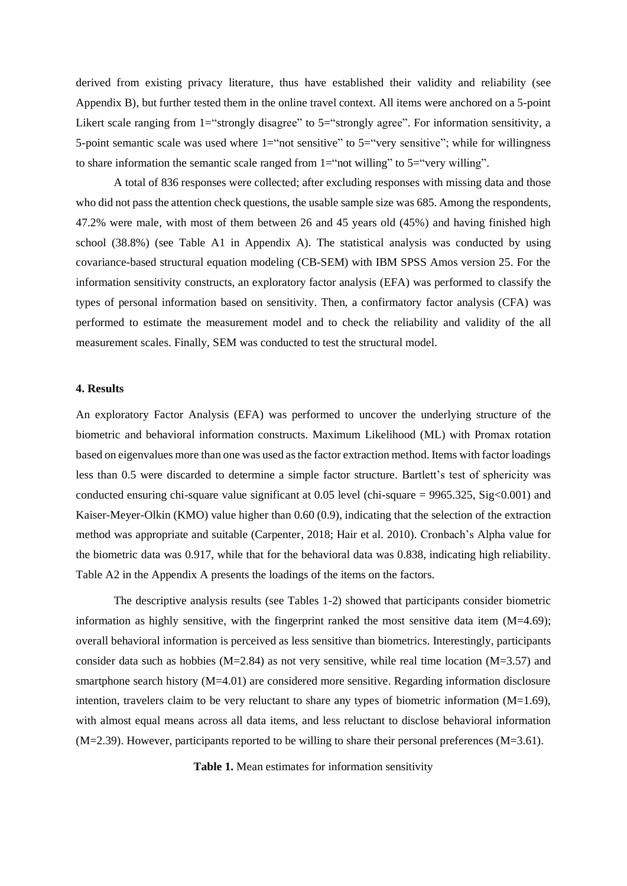derived from existing privacy literature, thus have established their validity and reliability (see Appendix B), but further tested them in the online travel context. All items were anchored on a 5-point Likert scale ranging from 1="strongly disagree" to 5="strongly agree". For information sensitivity, a 5-point semantic scale was used where  $1 =$ "not sensitive" to  $5 =$ "very sensitive"; while for willingness to share information the semantic scale ranged from 1="not willing" to 5="very willing".

A total of 836 responses were collected; after excluding responses with missing data and those who did not pass the attention check questions, the usable sample size was 685. Among the respondents, 47.2% were male, with most of them between 26 and 45 years old (45%) and having finished high school (38.8%) (see Table A1 in Appendix A). The statistical analysis was conducted by using covariance-based structural equation modeling (CB-SEM) with IBM SPSS Amos version 25. For the information sensitivity constructs, an exploratory factor analysis (EFA) was performed to classify the types of personal information based on sensitivity. Then, a confirmatory factor analysis (CFA) was performed to estimate the measurement model and to check the reliability and validity of the all measurement scales. Finally, SEM was conducted to test the structural model.

## **4. Results**

An exploratory Factor Analysis (EFA) was performed to uncover the underlying structure of the biometric and behavioral information constructs. Maximum Likelihood (ML) with Promax rotation based on eigenvalues more than one was used as the factor extraction method. Items with factor loadings less than 0.5 were discarded to determine a simple factor structure. Bartlett's test of sphericity was conducted ensuring chi-square value significant at 0.05 level (chi-square  $= 9965.325$ , Sig $< 0.001$ ) and Kaiser-Meyer-Olkin (KMO) value higher than 0.60 (0.9), indicating that the selection of the extraction method was appropriate and suitable (Carpenter, 2018; Hair et al. 2010). Cronbach's Alpha value for the biometric data was 0.917, while that for the behavioral data was 0.838, indicating high reliability. Table A2 in the Appendix A presents the loadings of the items on the factors.

The descriptive analysis results (see Tables 1-2) showed that participants consider biometric information as highly sensitive, with the fingerprint ranked the most sensitive data item  $(M=4.69)$ ; overall behavioral information is perceived as less sensitive than biometrics. Interestingly, participants consider data such as hobbies (M=2.84) as not very sensitive, while real time location (M=3.57) and smartphone search history (M=4.01) are considered more sensitive. Regarding information disclosure intention, travelers claim to be very reluctant to share any types of biometric information (M=1.69), with almost equal means across all data items, and less reluctant to disclose behavioral information  $(M=2.39)$ . However, participants reported to be willing to share their personal preferences  $(M=3.61)$ .

**Table 1.** Mean estimates for information sensitivity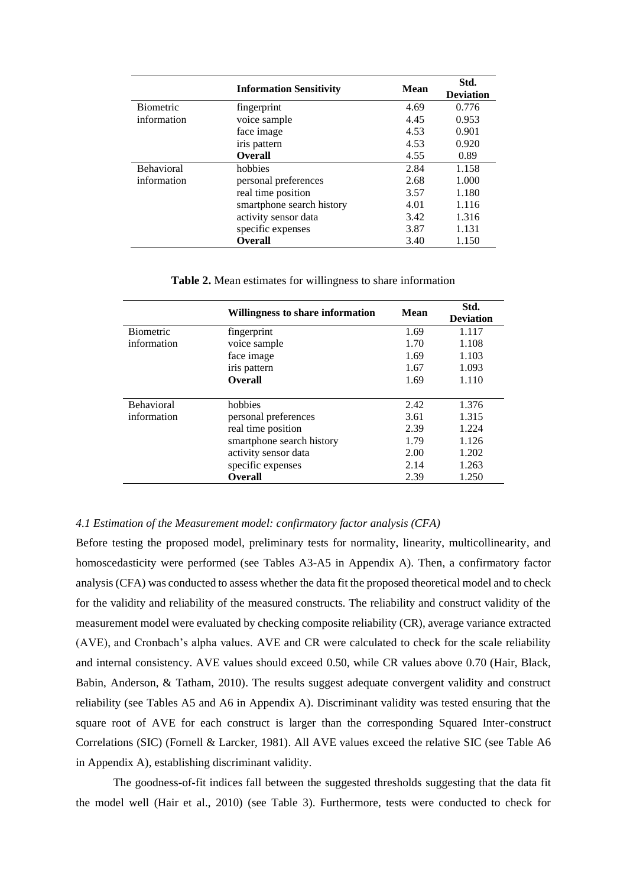|                   | <b>Information Sensitivity</b> | Mean | Std.<br><b>Deviation</b> |
|-------------------|--------------------------------|------|--------------------------|
| <b>Biometric</b>  | fingerprint                    | 4.69 | 0.776                    |
| information       | voice sample                   | 4.45 | 0.953                    |
|                   | face image                     | 4.53 | 0.901                    |
|                   | iris pattern                   | 4.53 | 0.920                    |
|                   | <b>Overall</b>                 | 4.55 | 0.89                     |
| <b>Behavioral</b> | hobbies                        | 2.84 | 1.158                    |
| information       | personal preferences           | 2.68 | 1.000                    |
|                   | real time position             | 3.57 | 1.180                    |
|                   | smartphone search history      | 4.01 | 1.116                    |
|                   | activity sensor data           | 3.42 | 1.316                    |
|                   | specific expenses              | 3.87 | 1.131                    |
|                   | <b>Overall</b>                 | 3.40 | 1.150                    |

**Table 2.** Mean estimates for willingness to share information

|                   | Willingness to share information | Mean | Std.<br><b>Deviation</b> |
|-------------------|----------------------------------|------|--------------------------|
| <b>Biometric</b>  | fingerprint                      | 1.69 | 1.117                    |
| information       | voice sample                     | 1.70 | 1.108                    |
|                   | face image                       | 1.69 | 1.103                    |
|                   | iris pattern                     | 1.67 | 1.093                    |
|                   | <b>Overall</b>                   | 1.69 | 1.110                    |
|                   |                                  |      |                          |
| <b>Behavioral</b> | hobbies                          | 2.42 | 1.376                    |
| information       | personal preferences             | 3.61 | 1.315                    |
|                   | real time position               | 2.39 | 1.224                    |
|                   | smartphone search history        | 1.79 | 1.126                    |
|                   | activity sensor data             | 2.00 | 1.202                    |
|                   | specific expenses                | 2.14 | 1.263                    |
|                   | <b>Overall</b>                   | 2.39 | 1.250                    |

## *4.1 Estimation of the Measurement model: confirmatory factor analysis (CFA)*

Before testing the proposed model, preliminary tests for normality, linearity, multicollinearity, and homoscedasticity were performed (see Tables A3-A5 in Appendix A). Then, a confirmatory factor analysis (CFA) was conducted to assess whether the data fit the proposed theoretical model and to check for the validity and reliability of the measured constructs. The reliability and construct validity of the measurement model were evaluated by checking composite reliability (CR), average variance extracted (AVE), and Cronbach's alpha values. AVE and CR were calculated to check for the scale reliability and internal consistency. AVE values should exceed 0.50, while CR values above 0.70 (Hair, Black, Babin, Anderson, & Tatham, 2010). The results suggest adequate convergent validity and construct reliability (see Tables A5 and A6 in Appendix A). Discriminant validity was tested ensuring that the square root of AVE for each construct is larger than the corresponding Squared Inter-construct Correlations (SIC) (Fornell & Larcker, 1981). All AVE values exceed the relative SIC (see Table A6 in Appendix A), establishing discriminant validity.

The goodness-of-fit indices fall between the suggested thresholds suggesting that the data fit the model well (Hair et al., 2010) (see Table 3). Furthermore, tests were conducted to check for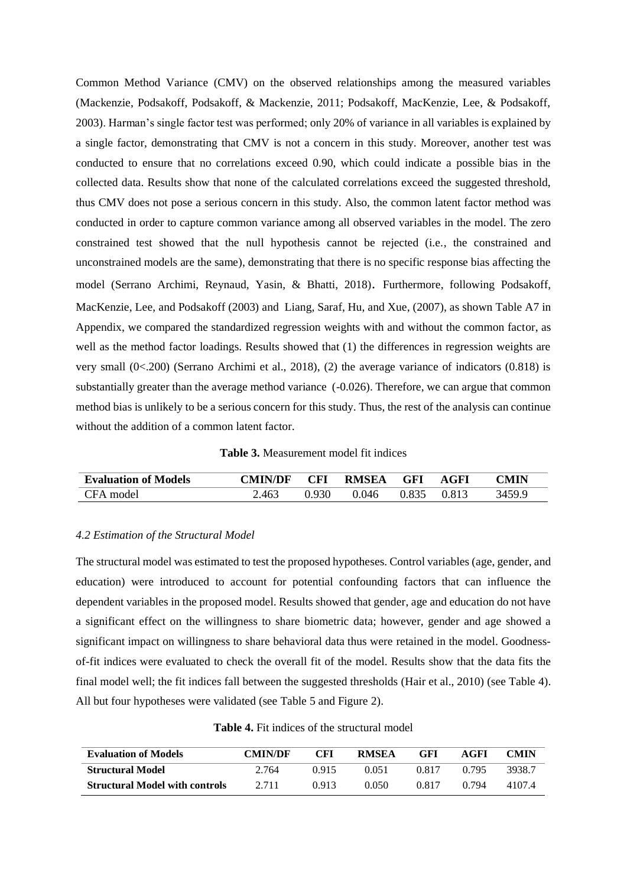Common Method Variance (CMV) on the observed relationships among the measured variables (Mackenzie, Podsakoff, Podsakoff, & Mackenzie, 2011; Podsakoff, MacKenzie, Lee, & Podsakoff, 2003). Harman's single factor test was performed; only 20% of variance in all variables is explained by a single factor, demonstrating that CMV is not a concern in this study. Moreover, another test was conducted to ensure that no correlations exceed 0.90, which could indicate a possible bias in the collected data. Results show that none of the calculated correlations exceed the suggested threshold, thus CMV does not pose a serious concern in this study. Also, the common latent factor method was conducted in order to capture common variance among all observed variables in the model. The zero constrained test showed that the null hypothesis cannot be rejected (i.e., the constrained and unconstrained models are the same), demonstrating that there is no specific response bias affecting the model (Serrano Archimi, Reynaud, Yasin, & Bhatti, 2018). Furthermore, following Podsakoff, MacKenzie, Lee, and Podsakoff (2003) and Liang, Saraf, Hu, and Xue, (2007), as shown Table A7 in Appendix, we compared the standardized regression weights with and without the common factor, as well as the method factor loadings. Results showed that (1) the differences in regression weights are very small (0<.200) (Serrano Archimi et al., 2018), (2) the average variance of indicators (0.818) is substantially greater than the average method variance (-0.026). Therefore, we can argue that common method bias is unlikely to be a serious concern for this study. Thus, the rest of the analysis can continue without the addition of a common latent factor.

**Table 3.** Measurement model fit indices

| <b>Evaluation of Models</b> | ~MIN/DF | <b>CFI</b> | <b>RMSEA</b> | <b>GFI</b> | AGFI  | $^{\sim}$ MIN |
|-----------------------------|---------|------------|--------------|------------|-------|---------------|
| CFA model                   | 2.463   | 0.930      | 0.046        | 0.835      | 0.813 | 3459.9        |

## *4.2 Estimation of the Structural Model*

The structural model was estimated to test the proposed hypotheses. Control variables (age, gender, and education) were introduced to account for potential confounding factors that can influence the dependent variables in the proposed model. Results showed that gender, age and education do not have a significant effect on the willingness to share biometric data; however, gender and age showed a significant impact on willingness to share behavioral data thus were retained in the model. Goodnessof-fit indices were evaluated to check the overall fit of the model. Results show that the data fits the final model well; the fit indices fall between the suggested thresholds (Hair et al., 2010) (see Table 4). All but four hypotheses were validated (see Table 5 and Figure 2).

**Table 4.** Fit indices of the structural model

| <b>Evaluation of Models</b>           | <b>CMIN/DF</b> | CFI    | RMSEA | GFI   | AGFI  | CMIN   |
|---------------------------------------|----------------|--------|-------|-------|-------|--------|
| <b>Structural Model</b>               | 2.764          | 0915   | 0.051 | 0.817 | 0.795 | 3938.7 |
| <b>Structural Model with controls</b> | 2.711          | () 913 | 0.050 | 0.817 | 0.794 | 41074  |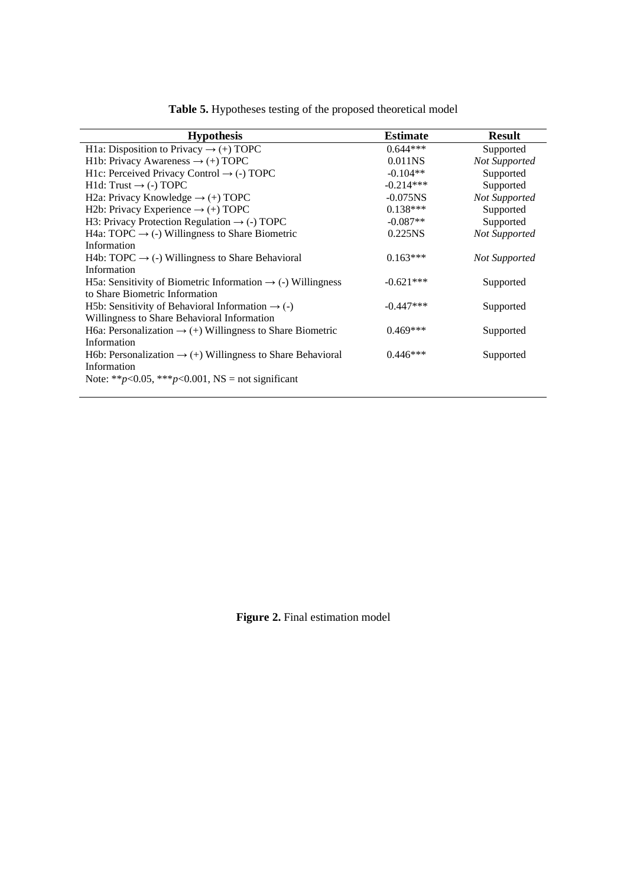| <b>Hypothesis</b>                                                       | <b>Estimate</b> | <b>Result</b>        |
|-------------------------------------------------------------------------|-----------------|----------------------|
| H1a: Disposition to Privacy $\rightarrow$ (+) TOPC                      | $0.644***$      | Supported            |
| H1b: Privacy Awareness $\rightarrow$ (+) TOPC                           | 0.011NS         | Not Supported        |
| H1c: Perceived Privacy Control $\rightarrow$ (-) TOPC                   | $-0.104**$      | Supported            |
| H1d: Trust $\rightarrow$ (-) TOPC                                       | $-0.214***$     | Supported            |
| H2a: Privacy Knowledge $\rightarrow$ (+) TOPC                           | $-0.075$ NS     | Not Supported        |
| H2b: Privacy Experience $\rightarrow$ (+) TOPC                          | $0.138***$      | Supported            |
| H3: Privacy Protection Regulation $\rightarrow$ (-) TOPC                | $-0.087**$      | Supported            |
| H4a: TOPC $\rightarrow$ (-) Willingness to Share Biometric              | 0.225NS         | <b>Not Supported</b> |
| Information                                                             |                 |                      |
| H4b: TOPC $\rightarrow$ (-) Willingness to Share Behavioral             | $0.163***$      | <b>Not Supported</b> |
| Information                                                             |                 |                      |
| H5a: Sensitivity of Biometric Information $\rightarrow$ (-) Willingness | $-0.621***$     | Supported            |
| to Share Biometric Information                                          |                 |                      |
| H5b: Sensitivity of Behavioral Information $\rightarrow$ (-)            | $-0.447***$     | Supported            |
| Willingness to Share Behavioral Information                             |                 |                      |
| H6a: Personalization $\rightarrow$ (+) Willingness to Share Biometric   | $0.469***$      | Supported            |
| Information                                                             |                 |                      |
| H6b: Personalization $\rightarrow$ (+) Willingness to Share Behavioral  | $0.446***$      | Supported            |
| Information                                                             |                 |                      |
| Note: ** $p<0.05$ , *** $p<0.001$ , NS = not significant                |                 |                      |

**Table 5.** Hypotheses testing of the proposed theoretical model

Figure 2. Final estimation model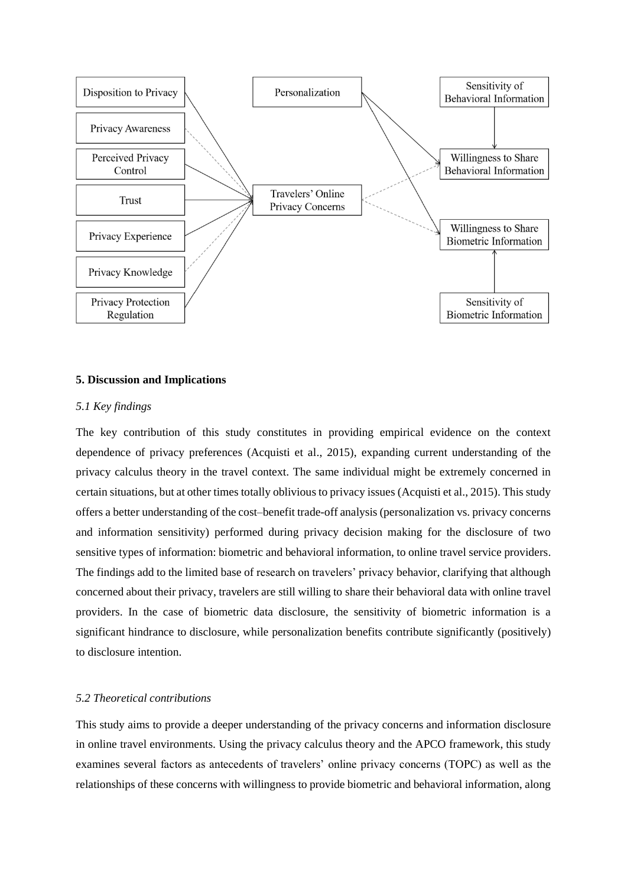

# **5. Discussion and Implications**

### *5.1 Key findings*

The key contribution of this study constitutes in providing empirical evidence on the context dependence of privacy preferences (Acquisti et al., 2015), expanding current understanding of the privacy calculus theory in the travel context. The same individual might be extremely concerned in certain situations, but at other times totally oblivious to privacy issues (Acquisti et al., 2015). This study offers a better understanding of the cost–benefit trade-off analysis (personalization vs. privacy concerns and information sensitivity) performed during privacy decision making for the disclosure of two sensitive types of information: biometric and behavioral information, to online travel service providers. The findings add to the limited base of research on travelers' privacy behavior, clarifying that although concerned about their privacy, travelers are still willing to share their behavioral data with online travel providers. In the case of biometric data disclosure, the sensitivity of biometric information is a significant hindrance to disclosure, while personalization benefits contribute significantly (positively) to disclosure intention.

# *5.2 Theoretical contributions*

This study aims to provide a deeper understanding of the privacy concerns and information disclosure in online travel environments. Using the privacy calculus theory and the APCO framework, this study examines several factors as antecedents of travelers' online privacy concerns (TOPC) as well as the relationships of these concerns with willingness to provide biometric and behavioral information, along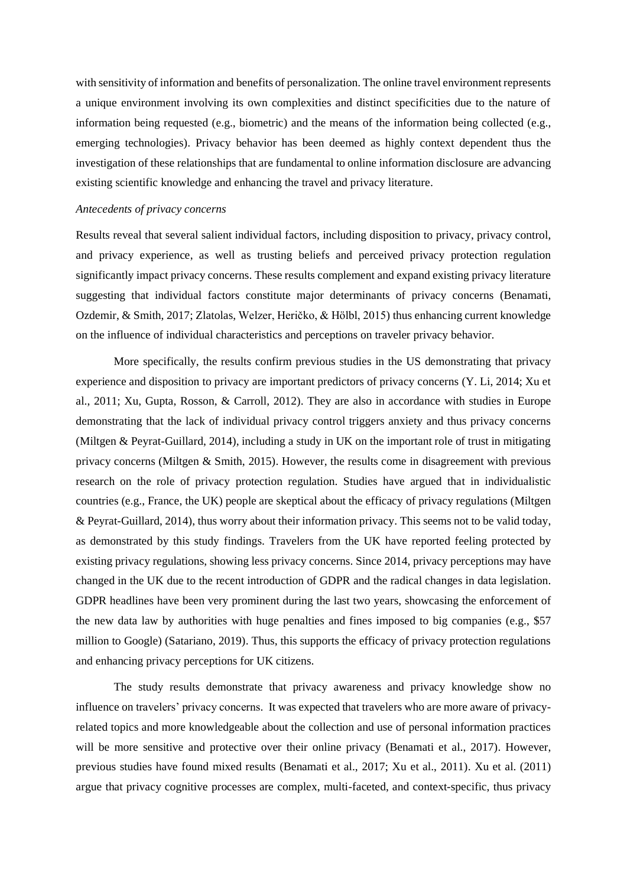with sensitivity of information and benefits of personalization. The online travel environment represents a unique environment involving its own complexities and distinct specificities due to the nature of information being requested (e.g., biometric) and the means of the information being collected (e.g., emerging technologies). Privacy behavior has been deemed as highly context dependent thus the investigation of these relationships that are fundamental to online information disclosure are advancing existing scientific knowledge and enhancing the travel and privacy literature.

#### *Antecedents of privacy concerns*

Results reveal that several salient individual factors, including disposition to privacy, privacy control, and privacy experience, as well as trusting beliefs and perceived privacy protection regulation significantly impact privacy concerns. These results complement and expand existing privacy literature suggesting that individual factors constitute major determinants of privacy concerns (Benamati, Ozdemir, & Smith, 2017; Zlatolas, Welzer, Heričko, & Hölbl, 2015) thus enhancing current knowledge on the influence of individual characteristics and perceptions on traveler privacy behavior.

More specifically, the results confirm previous studies in the US demonstrating that privacy experience and disposition to privacy are important predictors of privacy concerns (Y. Li, 2014; Xu et al., 2011; Xu, Gupta, Rosson, & Carroll, 2012). They are also in accordance with studies in Europe demonstrating that the lack of individual privacy control triggers anxiety and thus privacy concerns (Miltgen & Peyrat-Guillard, 2014), including a study in UK on the important role of trust in mitigating privacy concerns (Miltgen  $\&$  Smith, 2015). However, the results come in disagreement with previous research on the role of privacy protection regulation. Studies have argued that in individualistic countries (e.g., France, the UK) people are skeptical about the efficacy of privacy regulations (Miltgen & Peyrat-Guillard, 2014), thus worry about their information privacy. This seems not to be valid today, as demonstrated by this study findings. Travelers from the UK have reported feeling protected by existing privacy regulations, showing less privacy concerns. Since 2014, privacy perceptions may have changed in the UK due to the recent introduction of GDPR and the radical changes in data legislation. GDPR headlines have been very prominent during the last two years, showcasing the enforcement of the new data law by authorities with huge penalties and fines imposed to big companies (e.g., \$57 million to Google) (Satariano, 2019). Thus, this supports the efficacy of privacy protection regulations and enhancing privacy perceptions for UK citizens.

The study results demonstrate that privacy awareness and privacy knowledge show no influence on travelers' privacy concerns. It was expected that travelers who are more aware of privacyrelated topics and more knowledgeable about the collection and use of personal information practices will be more sensitive and protective over their online privacy (Benamati et al., 2017). However, previous studies have found mixed results (Benamati et al., 2017; Xu et al., 2011). Xu et al. (2011) argue that privacy cognitive processes are complex, multi-faceted, and context-specific, thus privacy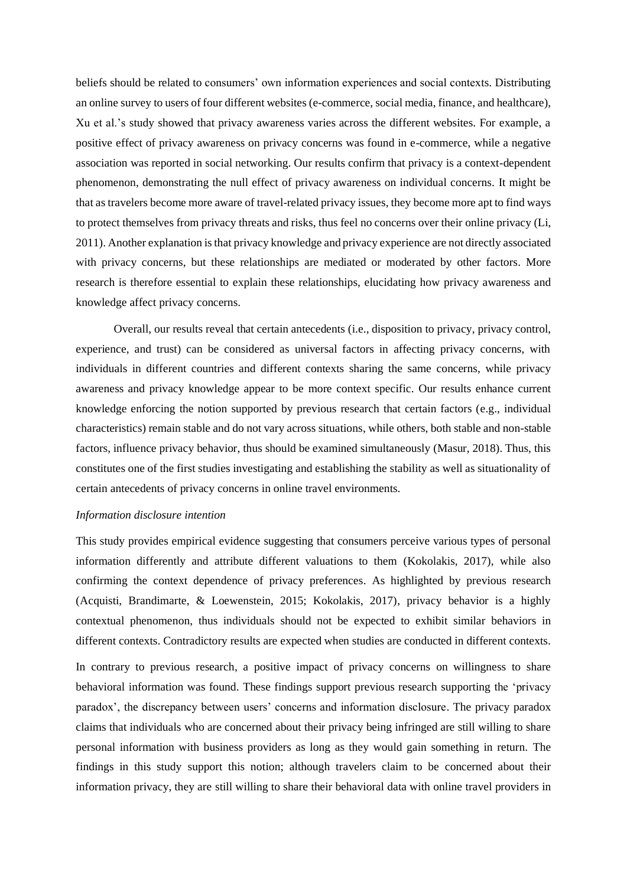beliefs should be related to consumers' own information experiences and social contexts. Distributing an online survey to users of four different websites (e-commerce, social media, finance, and healthcare), Xu et al.'s study showed that privacy awareness varies across the different websites. For example, a positive effect of privacy awareness on privacy concerns was found in e-commerce, while a negative association was reported in social networking. Our results confirm that privacy is a context-dependent phenomenon, demonstrating the null effect of privacy awareness on individual concerns. It might be that as travelers become more aware of travel-related privacy issues, they become more apt to find ways to protect themselves from privacy threats and risks, thus feel no concerns over their online privacy (Li, 2011). Another explanation is that privacy knowledge and privacy experience are not directly associated with privacy concerns, but these relationships are mediated or moderated by other factors. More research is therefore essential to explain these relationships, elucidating how privacy awareness and knowledge affect privacy concerns.

Overall, our results reveal that certain antecedents (i.e., disposition to privacy, privacy control, experience, and trust) can be considered as universal factors in affecting privacy concerns, with individuals in different countries and different contexts sharing the same concerns, while privacy awareness and privacy knowledge appear to be more context specific. Our results enhance current knowledge enforcing the notion supported by previous research that certain factors (e.g., individual characteristics) remain stable and do not vary across situations, while others, both stable and non-stable factors, influence privacy behavior, thus should be examined simultaneously (Masur, 2018). Thus, this constitutes one of the first studies investigating and establishing the stability as well as situationality of certain antecedents of privacy concerns in online travel environments.

#### *Information disclosure intention*

This study provides empirical evidence suggesting that consumers perceive various types of personal information differently and attribute different valuations to them (Kokolakis, 2017), while also confirming the context dependence of privacy preferences. As highlighted by previous research (Acquisti, Brandimarte, & Loewenstein, 2015; Kokolakis, 2017), privacy behavior is a highly contextual phenomenon, thus individuals should not be expected to exhibit similar behaviors in different contexts. Contradictory results are expected when studies are conducted in different contexts.

In contrary to previous research, a positive impact of privacy concerns on willingness to share behavioral information was found. These findings support previous research supporting the 'privacy paradox', the discrepancy between users' concerns and information disclosure. The privacy paradox claims that individuals who are concerned about their privacy being infringed are still willing to share personal information with business providers as long as they would gain something in return. The findings in this study support this notion; although travelers claim to be concerned about their information privacy, they are still willing to share their behavioral data with online travel providers in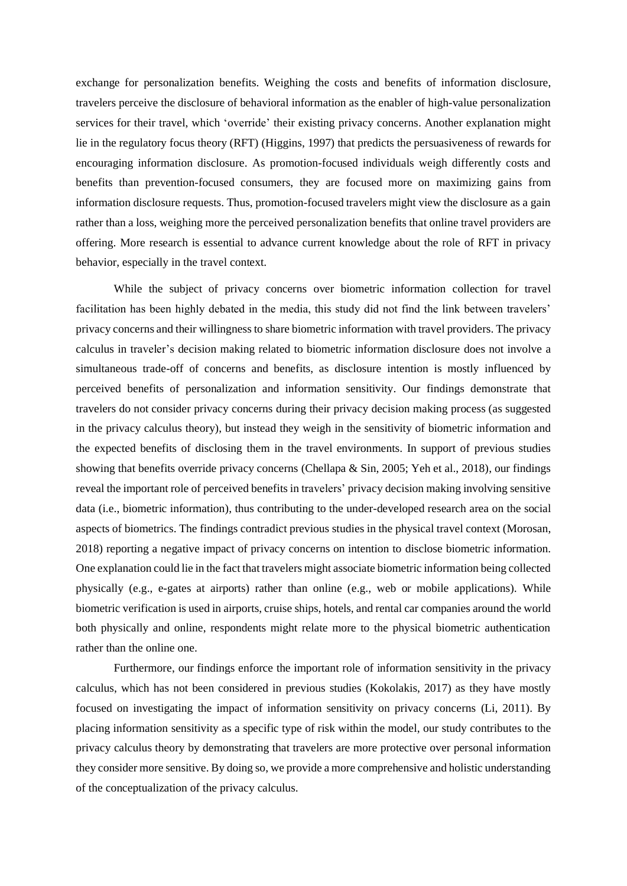exchange for personalization benefits. Weighing the costs and benefits of information disclosure, travelers perceive the disclosure of behavioral information as the enabler of high-value personalization services for their travel, which 'override' their existing privacy concerns. Another explanation might lie in the regulatory focus theory (RFT) (Higgins, 1997) that predicts the persuasiveness of rewards for encouraging information disclosure. As promotion-focused individuals weigh differently costs and benefits than prevention-focused consumers, they are focused more on maximizing gains from information disclosure requests. Thus, promotion-focused travelers might view the disclosure as a gain rather than a loss, weighing more the perceived personalization benefits that online travel providers are offering. More research is essential to advance current knowledge about the role of RFT in privacy behavior, especially in the travel context.

While the subject of privacy concerns over biometric information collection for travel facilitation has been highly debated in the media, this study did not find the link between travelers' privacy concerns and their willingness to share biometric information with travel providers. The privacy calculus in traveler's decision making related to biometric information disclosure does not involve a simultaneous trade-off of concerns and benefits, as disclosure intention is mostly influenced by perceived benefits of personalization and information sensitivity. Our findings demonstrate that travelers do not consider privacy concerns during their privacy decision making process (as suggested in the privacy calculus theory), but instead they weigh in the sensitivity of biometric information and the expected benefits of disclosing them in the travel environments. In support of previous studies showing that benefits override privacy concerns (Chellapa & Sin, 2005; Yeh et al., 2018), our findings reveal the important role of perceived benefits in travelers' privacy decision making involving sensitive data (i.e., biometric information), thus contributing to the under-developed research area on the social aspects of biometrics. The findings contradict previous studies in the physical travel context (Morosan, 2018) reporting a negative impact of privacy concerns on intention to disclose biometric information. One explanation could lie in the fact that travelers might associate biometric information being collected physically (e.g., e-gates at airports) rather than online (e.g., web or mobile applications). While biometric verification is used in airports, cruise ships, hotels, and rental car companies around the world both physically and online, respondents might relate more to the physical biometric authentication rather than the online one.

Furthermore, our findings enforce the important role of information sensitivity in the privacy calculus, which has not been considered in previous studies (Kokolakis, 2017) as they have mostly focused on investigating the impact of information sensitivity on privacy concerns (Li, 2011). By placing information sensitivity as a specific type of risk within the model, our study contributes to the privacy calculus theory by demonstrating that travelers are more protective over personal information they consider more sensitive. By doing so, we provide a more comprehensive and holistic understanding of the conceptualization of the privacy calculus.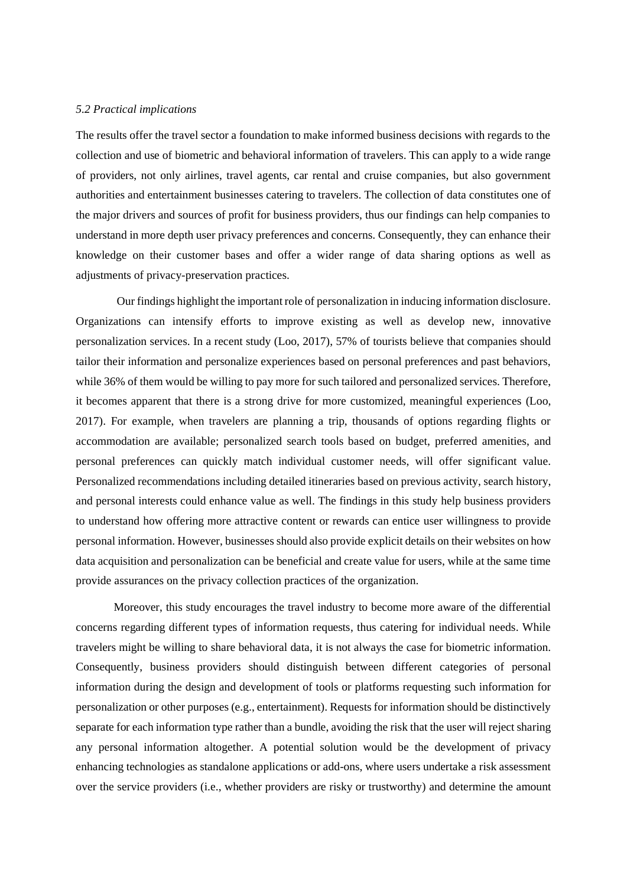#### *5.2 Practical implications*

The results offer the travel sector a foundation to make informed business decisions with regards to the collection and use of biometric and behavioral information of travelers. This can apply to a wide range of providers, not only airlines, travel agents, car rental and cruise companies, but also government authorities and entertainment businesses catering to travelers. The collection of data constitutes one of the major drivers and sources of profit for business providers, thus our findings can help companies to understand in more depth user privacy preferences and concerns. Consequently, they can enhance their knowledge on their customer bases and offer a wider range of data sharing options as well as adjustments of privacy-preservation practices.

Our findings highlight the important role of personalization in inducing information disclosure. Organizations can intensify efforts to improve existing as well as develop new, innovative personalization services. In a recent study (Loo, 2017), 57% of tourists believe that companies should tailor their information and personalize experiences based on personal preferences and past behaviors, while 36% of them would be willing to pay more for such tailored and personalized services. Therefore, it becomes apparent that there is a strong drive for more customized, meaningful experiences (Loo, 2017). For example, when travelers are planning a trip, thousands of options regarding flights or accommodation are available; personalized search tools based on budget, preferred amenities, and personal preferences can quickly match individual customer needs, will offer significant value. Personalized recommendations including detailed itineraries based on previous activity, search history, and personal interests could enhance value as well. The findings in this study help business providers to understand how offering more attractive content or rewards can entice user willingness to provide personal information. However, businesses should also provide explicit details on their websites on how data acquisition and personalization can be beneficial and create value for users, while at the same time provide assurances on the privacy collection practices of the organization.

Moreover, this study encourages the travel industry to become more aware of the differential concerns regarding different types of information requests, thus catering for individual needs. While travelers might be willing to share behavioral data, it is not always the case for biometric information. Consequently, business providers should distinguish between different categories of personal information during the design and development of tools or platforms requesting such information for personalization or other purposes (e.g., entertainment). Requests for information should be distinctively separate for each information type rather than a bundle, avoiding the risk that the user will reject sharing any personal information altogether. A potential solution would be the development of privacy enhancing technologies as standalone applications or add-ons, where users undertake a risk assessment over the service providers (i.e., whether providers are risky or trustworthy) and determine the amount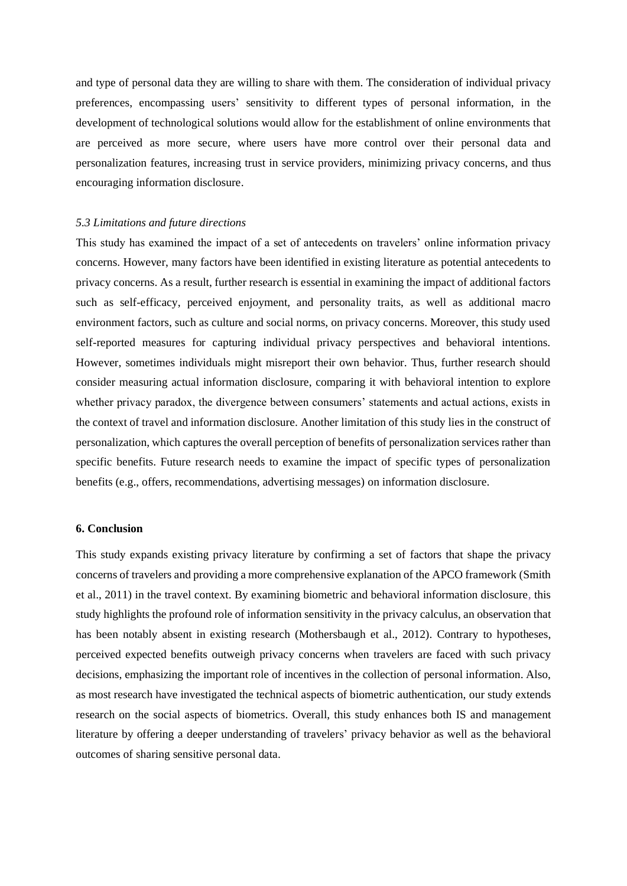and type of personal data they are willing to share with them. The consideration of individual privacy preferences, encompassing users' sensitivity to different types of personal information, in the development of technological solutions would allow for the establishment of online environments that are perceived as more secure, where users have more control over their personal data and personalization features, increasing trust in service providers, minimizing privacy concerns, and thus encouraging information disclosure.

#### *5.3 Limitations and future directions*

This study has examined the impact of a set of antecedents on travelers' online information privacy concerns. However, many factors have been identified in existing literature as potential antecedents to privacy concerns. As a result, further research is essential in examining the impact of additional factors such as self-efficacy, perceived enjoyment, and personality traits, as well as additional macro environment factors, such as culture and social norms, on privacy concerns. Moreover, this study used self-reported measures for capturing individual privacy perspectives and behavioral intentions. However, sometimes individuals might misreport their own behavior. Thus, further research should consider measuring actual information disclosure, comparing it with behavioral intention to explore whether privacy paradox, the divergence between consumers' statements and actual actions, exists in the context of travel and information disclosure. Another limitation of this study lies in the construct of personalization, which captures the overall perception of benefits of personalization services rather than specific benefits. Future research needs to examine the impact of specific types of personalization benefits (e.g., offers, recommendations, advertising messages) on information disclosure.

#### **6. Conclusion**

This study expands existing privacy literature by confirming a set of factors that shape the privacy concerns of travelers and providing a more comprehensive explanation of the APCO framework (Smith et al., 2011) in the travel context. By examining biometric and behavioral information disclosure, this study highlights the profound role of information sensitivity in the privacy calculus, an observation that has been notably absent in existing research (Mothersbaugh et al., 2012). Contrary to hypotheses, perceived expected benefits outweigh privacy concerns when travelers are faced with such privacy decisions, emphasizing the important role of incentives in the collection of personal information. Also, as most research have investigated the technical aspects of biometric authentication, our study extends research on the social aspects of biometrics. Overall, this study enhances both IS and management literature by offering a deeper understanding of travelers' privacy behavior as well as the behavioral outcomes of sharing sensitive personal data.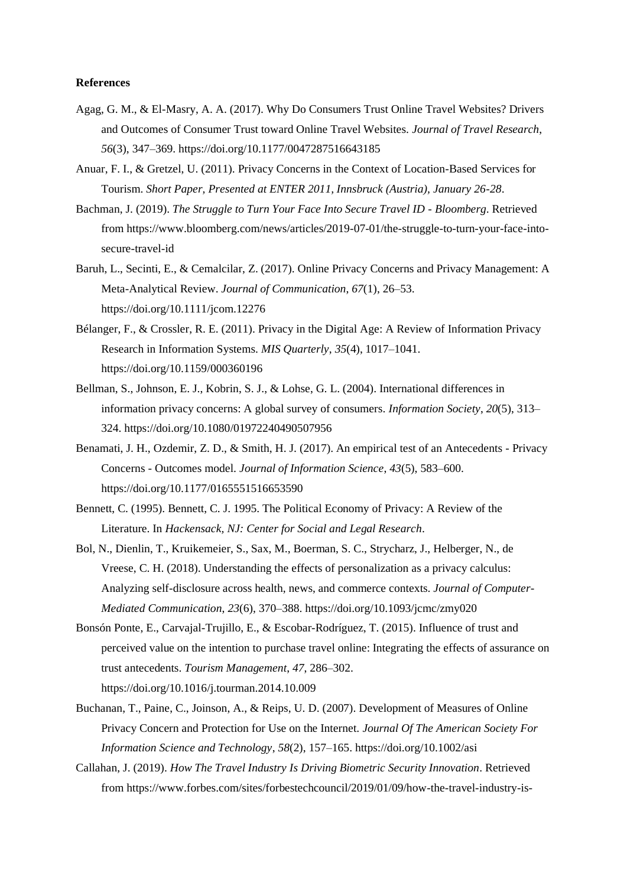### **References**

- Agag, G. M., & El-Masry, A. A. (2017). Why Do Consumers Trust Online Travel Websites? Drivers and Outcomes of Consumer Trust toward Online Travel Websites. *Journal of Travel Research*, *56*(3), 347–369. https://doi.org/10.1177/0047287516643185
- Anuar, F. I., & Gretzel, U. (2011). Privacy Concerns in the Context of Location-Based Services for Tourism. *Short Paper, Presented at ENTER 2011, Innsbruck (Austria), January 26-28*.
- Bachman, J. (2019). *The Struggle to Turn Your Face Into Secure Travel ID - Bloomberg*. Retrieved from https://www.bloomberg.com/news/articles/2019-07-01/the-struggle-to-turn-your-face-intosecure-travel-id
- Baruh, L., Secinti, E., & Cemalcilar, Z. (2017). Online Privacy Concerns and Privacy Management: A Meta-Analytical Review. *Journal of Communication*, *67*(1), 26–53. https://doi.org/10.1111/jcom.12276
- Bélanger, F., & Crossler, R. E. (2011). Privacy in the Digital Age: A Review of Information Privacy Research in Information Systems. *MIS Quarterly*, *35*(4), 1017–1041. https://doi.org/10.1159/000360196
- Bellman, S., Johnson, E. J., Kobrin, S. J., & Lohse, G. L. (2004). International differences in information privacy concerns: A global survey of consumers. *Information Society*, *20*(5), 313– 324. https://doi.org/10.1080/01972240490507956
- Benamati, J. H., Ozdemir, Z. D., & Smith, H. J. (2017). An empirical test of an Antecedents Privacy Concerns - Outcomes model. *Journal of Information Science*, *43*(5), 583–600. https://doi.org/10.1177/0165551516653590
- Bennett, C. (1995). Bennett, C. J. 1995. The Political Economy of Privacy: A Review of the Literature. In *Hackensack, NJ: Center for Social and Legal Research*.
- Bol, N., Dienlin, T., Kruikemeier, S., Sax, M., Boerman, S. C., Strycharz, J., Helberger, N., de Vreese, C. H. (2018). Understanding the effects of personalization as a privacy calculus: Analyzing self-disclosure across health, news, and commerce contexts. *Journal of Computer-Mediated Communication*, *23*(6), 370–388. https://doi.org/10.1093/jcmc/zmy020
- Bonsón Ponte, E., Carvajal-Trujillo, E., & Escobar-Rodríguez, T. (2015). Influence of trust and perceived value on the intention to purchase travel online: Integrating the effects of assurance on trust antecedents. *Tourism Management*, *47*, 286–302. https://doi.org/10.1016/j.tourman.2014.10.009
- Buchanan, T., Paine, C., Joinson, A., & Reips, U. D. (2007). Development of Measures of Online Privacy Concern and Protection for Use on the Internet. *Journal Of The American Society For Information Science and Technology*, *58*(2), 157–165. https://doi.org/10.1002/asi
- Callahan, J. (2019). *How The Travel Industry Is Driving Biometric Security Innovation*. Retrieved from https://www.forbes.com/sites/forbestechcouncil/2019/01/09/how-the-travel-industry-is-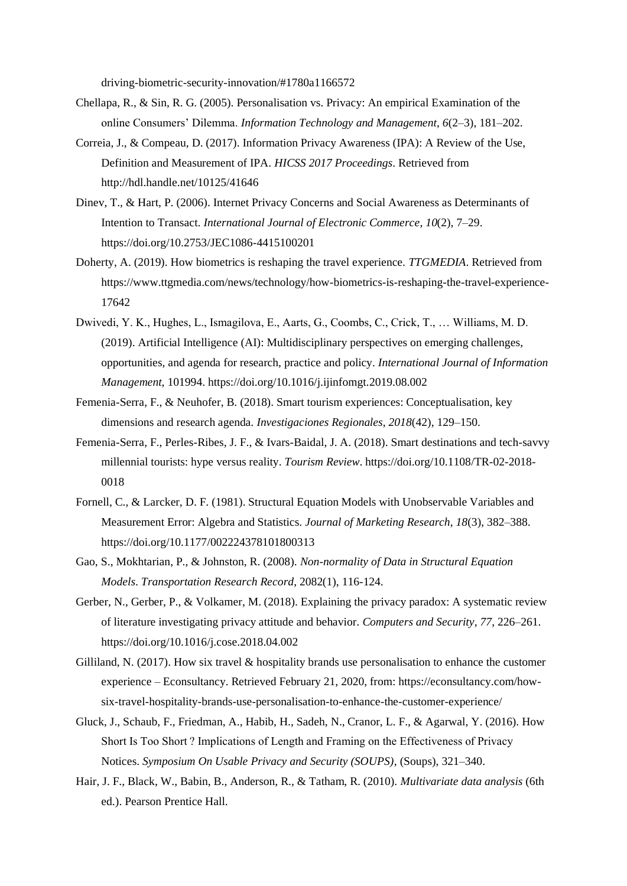driving-biometric-security-innovation/#1780a1166572

- Chellapa, R., & Sin, R. G. (2005). Personalisation vs. Privacy: An empirical Examination of the online Consumers' Dilemma. *Information Technology and Management*, *6*(2–3), 181–202.
- Correia, J., & Compeau, D. (2017). Information Privacy Awareness (IPA): A Review of the Use, Definition and Measurement of IPA. *HICSS 2017 Proceedings*. Retrieved from http://hdl.handle.net/10125/41646
- Dinev, T., & Hart, P. (2006). Internet Privacy Concerns and Social Awareness as Determinants of Intention to Transact. *International Journal of Electronic Commerce*, *10*(2), 7–29. https://doi.org/10.2753/JEC1086-4415100201
- Doherty, A. (2019). How biometrics is reshaping the travel experience. *TTGMEDIA*. Retrieved from https://www.ttgmedia.com/news/technology/how-biometrics-is-reshaping-the-travel-experience-17642
- Dwivedi, Y. K., Hughes, L., Ismagilova, E., Aarts, G., Coombs, C., Crick, T., … Williams, M. D. (2019). Artificial Intelligence (AI): Multidisciplinary perspectives on emerging challenges, opportunities, and agenda for research, practice and policy. *International Journal of Information Management*, 101994. https://doi.org/10.1016/j.ijinfomgt.2019.08.002
- Femenia-Serra, F., & Neuhofer, B. (2018). Smart tourism experiences: Conceptualisation, key dimensions and research agenda. *Investigaciones Regionales*, *2018*(42), 129–150.
- Femenia-Serra, F., Perles-Ribes, J. F., & Ivars-Baidal, J. A. (2018). Smart destinations and tech-savvy millennial tourists: hype versus reality. *Tourism Review*. https://doi.org/10.1108/TR-02-2018- 0018
- Fornell, C., & Larcker, D. F. (1981). Structural Equation Models with Unobservable Variables and Measurement Error: Algebra and Statistics. *Journal of Marketing Research*, *18*(3), 382–388. https://doi.org/10.1177/002224378101800313
- Gao, S., Mokhtarian, P., & Johnston, R. (2008). *Non-normality of Data in Structural Equation Models*. *Transportation Research Record*, 2082(1), 116-124.
- Gerber, N., Gerber, P., & Volkamer, M. (2018). Explaining the privacy paradox: A systematic review of literature investigating privacy attitude and behavior. *Computers and Security*, *77*, 226–261. https://doi.org/10.1016/j.cose.2018.04.002
- Gilliland, N. (2017). How six travel & hospitality brands use personalisation to enhance the customer experience – Econsultancy. Retrieved February 21, 2020, from: https://econsultancy.com/howsix-travel-hospitality-brands-use-personalisation-to-enhance-the-customer-experience/
- Gluck, J., Schaub, F., Friedman, A., Habib, H., Sadeh, N., Cranor, L. F., & Agarwal, Y. (2016). How Short Is Too Short ? Implications of Length and Framing on the Effectiveness of Privacy Notices. *Symposium On Usable Privacy and Security (SOUPS)*, (Soups), 321–340.
- Hair, J. F., Black, W., Babin, B., Anderson, R., & Tatham, R. (2010). *Multivariate data analysis* (6th ed.). Pearson Prentice Hall.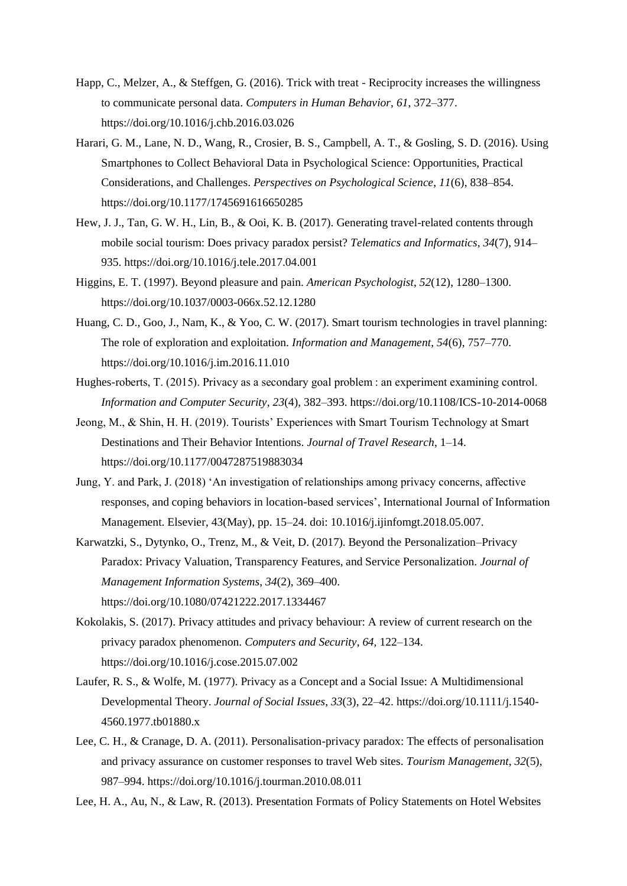- Happ, C., Melzer, A., & Steffgen, G. (2016). Trick with treat Reciprocity increases the willingness to communicate personal data. *Computers in Human Behavior*, *61*, 372–377. https://doi.org/10.1016/j.chb.2016.03.026
- Harari, G. M., Lane, N. D., Wang, R., Crosier, B. S., Campbell, A. T., & Gosling, S. D. (2016). Using Smartphones to Collect Behavioral Data in Psychological Science: Opportunities, Practical Considerations, and Challenges. *Perspectives on Psychological Science*, *11*(6), 838–854. https://doi.org/10.1177/1745691616650285
- Hew, J. J., Tan, G. W. H., Lin, B., & Ooi, K. B. (2017). Generating travel-related contents through mobile social tourism: Does privacy paradox persist? *Telematics and Informatics*, *34*(7), 914– 935. https://doi.org/10.1016/j.tele.2017.04.001
- Higgins, E. T. (1997). Beyond pleasure and pain. *American Psychologist*, *52*(12), 1280–1300. https://doi.org/10.1037/0003-066x.52.12.1280
- Huang, C. D., Goo, J., Nam, K., & Yoo, C. W. (2017). Smart tourism technologies in travel planning: The role of exploration and exploitation. *Information and Management*, *54*(6), 757–770. https://doi.org/10.1016/j.im.2016.11.010
- Hughes-roberts, T. (2015). Privacy as a secondary goal problem : an experiment examining control. *Information and Computer Security*, *23*(4), 382–393. https://doi.org/10.1108/ICS-10-2014-0068
- Jeong, M., & Shin, H. H. (2019). Tourists' Experiences with Smart Tourism Technology at Smart Destinations and Their Behavior Intentions. *Journal of Travel Research*, 1–14. https://doi.org/10.1177/0047287519883034
- Jung, Y. and Park, J. (2018) 'An investigation of relationships among privacy concerns, affective responses, and coping behaviors in location-based services', International Journal of Information Management. Elsevier, 43(May), pp. 15–24. doi: 10.1016/j.ijinfomgt.2018.05.007.
- Karwatzki, S., Dytynko, O., Trenz, M., & Veit, D. (2017). Beyond the Personalization–Privacy Paradox: Privacy Valuation, Transparency Features, and Service Personalization. *Journal of Management Information Systems*, *34*(2), 369–400. https://doi.org/10.1080/07421222.2017.1334467
- Kokolakis, S. (2017). Privacy attitudes and privacy behaviour: A review of current research on the privacy paradox phenomenon. *Computers and Security*, *64*, 122–134. https://doi.org/10.1016/j.cose.2015.07.002
- Laufer, R. S., & Wolfe, M. (1977). Privacy as a Concept and a Social Issue: A Multidimensional Developmental Theory. *Journal of Social Issues*, *33*(3), 22–42. https://doi.org/10.1111/j.1540- 4560.1977.tb01880.x
- Lee, C. H., & Cranage, D. A. (2011). Personalisation-privacy paradox: The effects of personalisation and privacy assurance on customer responses to travel Web sites. *Tourism Management*, *32*(5), 987–994. https://doi.org/10.1016/j.tourman.2010.08.011
- Lee, H. A., Au, N., & Law, R. (2013). Presentation Formats of Policy Statements on Hotel Websites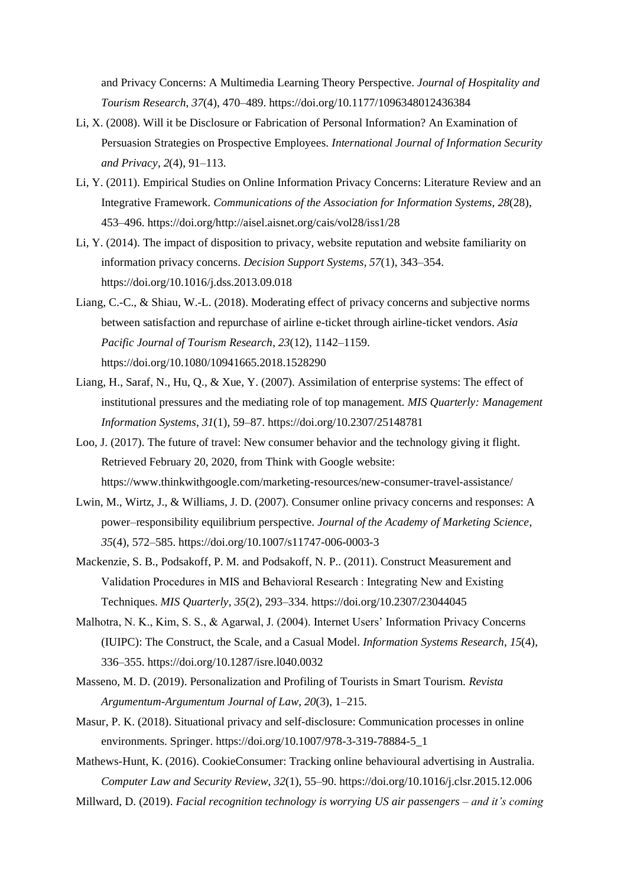and Privacy Concerns: A Multimedia Learning Theory Perspective. *Journal of Hospitality and Tourism Research*, *37*(4), 470–489. https://doi.org/10.1177/1096348012436384

- Li, X. (2008). Will it be Disclosure or Fabrication of Personal Information? An Examination of Persuasion Strategies on Prospective Employees. *International Journal of Information Security and Privacy*, *2*(4), 91–113.
- Li, Y. (2011). Empirical Studies on Online Information Privacy Concerns: Literature Review and an Integrative Framework. *Communications of the Association for Information Systems*, *28*(28), 453–496. https://doi.org/http://aisel.aisnet.org/cais/vol28/iss1/28
- Li, Y. (2014). The impact of disposition to privacy, website reputation and website familiarity on information privacy concerns. *Decision Support Systems*, *57*(1), 343–354. https://doi.org/10.1016/j.dss.2013.09.018
- Liang, C.-C., & Shiau, W.-L. (2018). Moderating effect of privacy concerns and subjective norms between satisfaction and repurchase of airline e-ticket through airline-ticket vendors. *Asia Pacific Journal of Tourism Research*, *23*(12), 1142–1159. https://doi.org/10.1080/10941665.2018.1528290
- Liang, H., Saraf, N., Hu, Q., & Xue, Y. (2007). Assimilation of enterprise systems: The effect of institutional pressures and the mediating role of top management. *MIS Quarterly: Management Information Systems*, *31*(1), 59–87. https://doi.org/10.2307/25148781
- Loo, J. (2017). The future of travel: New consumer behavior and the technology giving it flight. Retrieved February 20, 2020, from Think with Google website: https://www.thinkwithgoogle.com/marketing-resources/new-consumer-travel-assistance/
- Lwin, M., Wirtz, J., & Williams, J. D. (2007). Consumer online privacy concerns and responses: A power–responsibility equilibrium perspective. *Journal of the Academy of Marketing Science*, *35*(4), 572–585. https://doi.org/10.1007/s11747-006-0003-3
- Mackenzie, S. B., Podsakoff, P. M. and Podsakoff, N. P.. (2011). Construct Measurement and Validation Procedures in MIS and Behavioral Research : Integrating New and Existing Techniques. *MIS Quarterly*, *35*(2), 293–334. https://doi.org/10.2307/23044045
- Malhotra, N. K., Kim, S. S., & Agarwal, J. (2004). Internet Users' Information Privacy Concerns (IUIPC): The Construct, the Scale, and a Casual Model. *Information Systems Research*, *15*(4), 336–355. https://doi.org/10.1287/isre.l040.0032
- Masseno, M. D. (2019). Personalization and Profiling of Tourists in Smart Tourism. *Revista Argumentum-Argumentum Journal of Law*, *20*(3), 1–215.
- Masur, P. K. (2018). Situational privacy and self-disclosure: Communication processes in online environments. Springer. https://doi.org/10.1007/978-3-319-78884-5\_1
- Mathews-Hunt, K. (2016). CookieConsumer: Tracking online behavioural advertising in Australia. *Computer Law and Security Review*, *32*(1), 55–90. https://doi.org/10.1016/j.clsr.2015.12.006
- Millward, D. (2019). *Facial recognition technology is worrying US air passengers – and it's coming*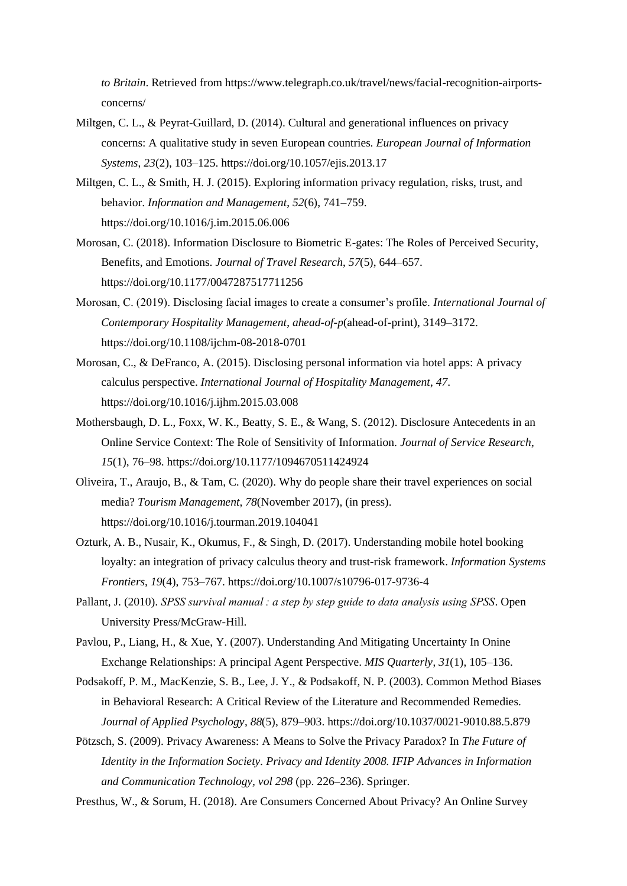*to Britain*. Retrieved from https://www.telegraph.co.uk/travel/news/facial-recognition-airportsconcerns/

- Miltgen, C. L., & Peyrat-Guillard, D. (2014). Cultural and generational influences on privacy concerns: A qualitative study in seven European countries. *European Journal of Information Systems*, *23*(2), 103–125. https://doi.org/10.1057/ejis.2013.17
- Miltgen, C. L., & Smith, H. J. (2015). Exploring information privacy regulation, risks, trust, and behavior. *Information and Management*, *52*(6), 741–759. https://doi.org/10.1016/j.im.2015.06.006
- Morosan, C. (2018). Information Disclosure to Biometric E-gates: The Roles of Perceived Security, Benefits, and Emotions. *Journal of Travel Research*, *57*(5), 644–657. https://doi.org/10.1177/0047287517711256
- Morosan, C. (2019). Disclosing facial images to create a consumer's profile. *International Journal of Contemporary Hospitality Management*, *ahead*-*of*-*p*(ahead-of-print), 3149–3172. https://doi.org/10.1108/ijchm-08-2018-0701
- Morosan, C., & DeFranco, A. (2015). Disclosing personal information via hotel apps: A privacy calculus perspective. *International Journal of Hospitality Management*, *47*. https://doi.org/10.1016/j.ijhm.2015.03.008
- Mothersbaugh, D. L., Foxx, W. K., Beatty, S. E., & Wang, S. (2012). Disclosure Antecedents in an Online Service Context: The Role of Sensitivity of Information. *Journal of Service Research*, *15*(1), 76–98. https://doi.org/10.1177/1094670511424924
- Oliveira, T., Araujo, B., & Tam, C. (2020). Why do people share their travel experiences on social media? *Tourism Management*, *78*(November 2017), (in press). https://doi.org/10.1016/j.tourman.2019.104041
- Ozturk, A. B., Nusair, K., Okumus, F., & Singh, D. (2017). Understanding mobile hotel booking loyalty: an integration of privacy calculus theory and trust-risk framework. *Information Systems Frontiers*, *19*(4), 753–767. https://doi.org/10.1007/s10796-017-9736-4
- Pallant, J. (2010). *SPSS survival manual : a step by step guide to data analysis using SPSS*. Open University Press/McGraw-Hill.
- Pavlou, P., Liang, H., & Xue, Y. (2007). Understanding And Mitigating Uncertainty In Onine Exchange Relationships: A principal Agent Perspective. *MIS Quarterly*, *31*(1), 105–136.
- Podsakoff, P. M., MacKenzie, S. B., Lee, J. Y., & Podsakoff, N. P. (2003). Common Method Biases in Behavioral Research: A Critical Review of the Literature and Recommended Remedies. *Journal of Applied Psychology*, *88*(5), 879–903. https://doi.org/10.1037/0021-9010.88.5.879
- Pötzsch, S. (2009). Privacy Awareness: A Means to Solve the Privacy Paradox? In *The Future of Identity in the Information Society. Privacy and Identity 2008. IFIP Advances in Information and Communication Technology, vol 298* (pp. 226–236). Springer.

Presthus, W., & Sorum, H. (2018). Are Consumers Concerned About Privacy? An Online Survey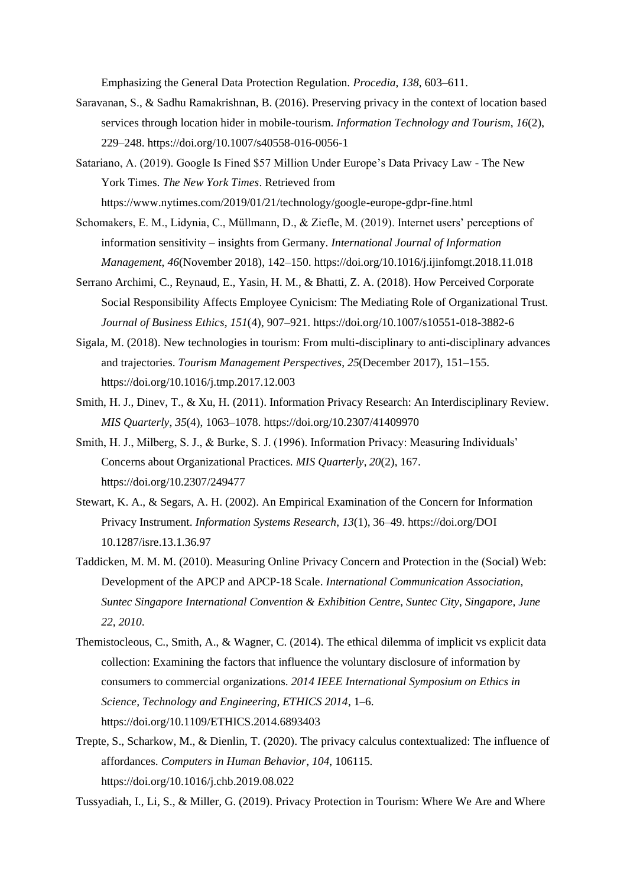Emphasizing the General Data Protection Regulation. *Procedia*, *138*, 603–611.

- Saravanan, S., & Sadhu Ramakrishnan, B. (2016). Preserving privacy in the context of location based services through location hider in mobile-tourism. *Information Technology and Tourism*, *16*(2), 229–248. https://doi.org/10.1007/s40558-016-0056-1
- Satariano, A. (2019). Google Is Fined \$57 Million Under Europe's Data Privacy Law The New York Times. *The New York Times*. Retrieved from

https://www.nytimes.com/2019/01/21/technology/google-europe-gdpr-fine.html

- Schomakers, E. M., Lidynia, C., Müllmann, D., & Ziefle, M. (2019). Internet users' perceptions of information sensitivity – insights from Germany. *International Journal of Information Management*, *46*(November 2018), 142–150. https://doi.org/10.1016/j.ijinfomgt.2018.11.018
- Serrano Archimi, C., Reynaud, E., Yasin, H. M., & Bhatti, Z. A. (2018). How Perceived Corporate Social Responsibility Affects Employee Cynicism: The Mediating Role of Organizational Trust. *Journal of Business Ethics*, *151*(4), 907–921. https://doi.org/10.1007/s10551-018-3882-6
- Sigala, M. (2018). New technologies in tourism: From multi-disciplinary to anti-disciplinary advances and trajectories. *Tourism Management Perspectives*, *25*(December 2017), 151–155. https://doi.org/10.1016/j.tmp.2017.12.003
- Smith, H. J., Dinev, T., & Xu, H. (2011). Information Privacy Research: An Interdisciplinary Review. *MIS Quarterly*, *35*(4), 1063–1078. https://doi.org/10.2307/41409970
- Smith, H. J., Milberg, S. J., & Burke, S. J. (1996). Information Privacy: Measuring Individuals' Concerns about Organizational Practices. *MIS Quarterly*, *20*(2), 167. https://doi.org/10.2307/249477
- Stewart, K. A., & Segars, A. H. (2002). An Empirical Examination of the Concern for Information Privacy Instrument. *Information Systems Research*, *13*(1), 36–49. https://doi.org/DOI 10.1287/isre.13.1.36.97
- Taddicken, M. M. M. (2010). Measuring Online Privacy Concern and Protection in the (Social) Web: Development of the APCP and APCP-18 Scale. *International Communication Association, Suntec Singapore International Convention & Exhibition Centre, Suntec City, Singapore, June 22, 2010*.
- Themistocleous, C., Smith, A., & Wagner, C. (2014). The ethical dilemma of implicit vs explicit data collection: Examining the factors that influence the voluntary disclosure of information by consumers to commercial organizations. *2014 IEEE International Symposium on Ethics in Science, Technology and Engineering, ETHICS 2014*, 1–6. https://doi.org/10.1109/ETHICS.2014.6893403
- Trepte, S., Scharkow, M., & Dienlin, T. (2020). The privacy calculus contextualized: The influence of affordances. *Computers in Human Behavior*, *104*, 106115. https://doi.org/10.1016/j.chb.2019.08.022

Tussyadiah, I., Li, S., & Miller, G. (2019). Privacy Protection in Tourism: Where We Are and Where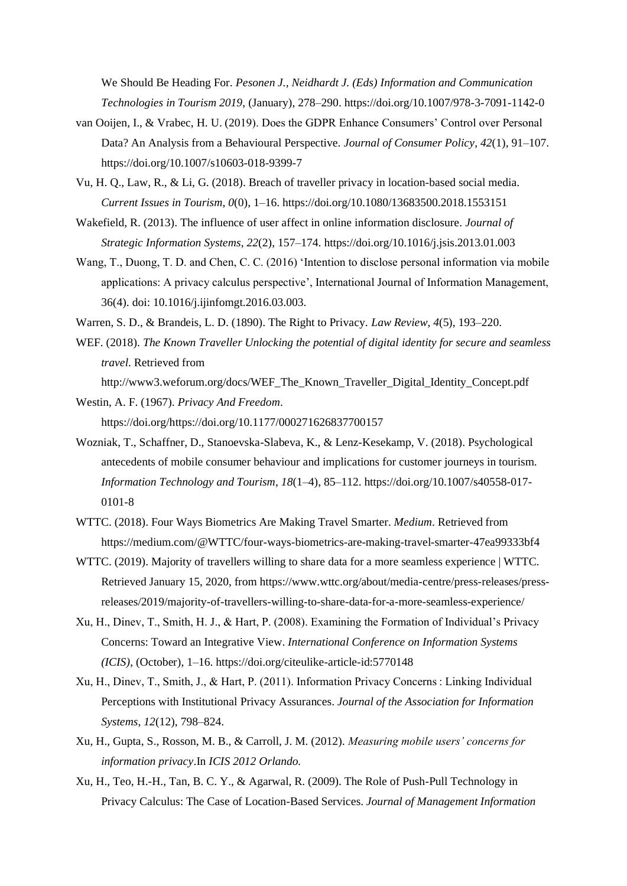We Should Be Heading For. *Pesonen J., Neidhardt J. (Eds) Information and Communication Technologies in Tourism 2019*, (January), 278–290. https://doi.org/10.1007/978-3-7091-1142-0

- van Ooijen, I., & Vrabec, H. U. (2019). Does the GDPR Enhance Consumers' Control over Personal Data? An Analysis from a Behavioural Perspective. *Journal of Consumer Policy*, *42*(1), 91–107. https://doi.org/10.1007/s10603-018-9399-7
- Vu, H. Q., Law, R., & Li, G. (2018). Breach of traveller privacy in location-based social media. *Current Issues in Tourism*, *0*(0), 1–16. https://doi.org/10.1080/13683500.2018.1553151
- Wakefield, R. (2013). The influence of user affect in online information disclosure. *Journal of Strategic Information Systems*, *22*(2), 157–174. https://doi.org/10.1016/j.jsis.2013.01.003
- Wang, T., Duong, T. D. and Chen, C. C. (2016) 'Intention to disclose personal information via mobile applications: A privacy calculus perspective', International Journal of Information Management, 36(4). doi: 10.1016/j.ijinfomgt.2016.03.003.
- Warren, S. D., & Brandeis, L. D. (1890). The Right to Privacy. *Law Review*, *4*(5), 193–220.
- WEF. (2018). *The Known Traveller Unlocking the potential of digital identity for secure and seamless travel*. Retrieved from

http://www3.weforum.org/docs/WEF\_The\_Known\_Traveller\_Digital\_Identity\_Concept.pdf

- Westin, A. F. (1967). *Privacy And Freedom*. https://doi.org/https://doi.org/10.1177/000271626837700157
- Wozniak, T., Schaffner, D., Stanoevska-Slabeva, K., & Lenz-Kesekamp, V. (2018). Psychological antecedents of mobile consumer behaviour and implications for customer journeys in tourism. *Information Technology and Tourism*, *18*(1–4), 85–112. https://doi.org/10.1007/s40558-017- 0101-8
- WTTC. (2018). Four Ways Biometrics Are Making Travel Smarter. *Medium*. Retrieved from https://medium.com/@WTTC/four-ways-biometrics-are-making-travel-smarter-47ea99333bf4
- WTTC. (2019). Majority of travellers willing to share data for a more seamless experience | WTTC. Retrieved January 15, 2020, from https://www.wttc.org/about/media-centre/press-releases/pressreleases/2019/majority-of-travellers-willing-to-share-data-for-a-more-seamless-experience/
- Xu, H., Dinev, T., Smith, H. J., & Hart, P. (2008). Examining the Formation of Individual's Privacy Concerns: Toward an Integrative View. *International Conference on Information Systems (ICIS)*, (October), 1–16. https://doi.org/citeulike-article-id:5770148
- Xu, H., Dinev, T., Smith, J., & Hart, P. (2011). Information Privacy Concerns : Linking Individual Perceptions with Institutional Privacy Assurances. *Journal of the Association for Information Systems*, *12*(12), 798–824.
- Xu, H., Gupta, S., Rosson, M. B., & Carroll, J. M. (2012). *Measuring mobile users' concerns for information privacy*.In *ICIS 2012 Orlando.*
- Xu, H., Teo, H.-H., Tan, B. C. Y., & Agarwal, R. (2009). The Role of Push-Pull Technology in Privacy Calculus: The Case of Location-Based Services. *Journal of Management Information*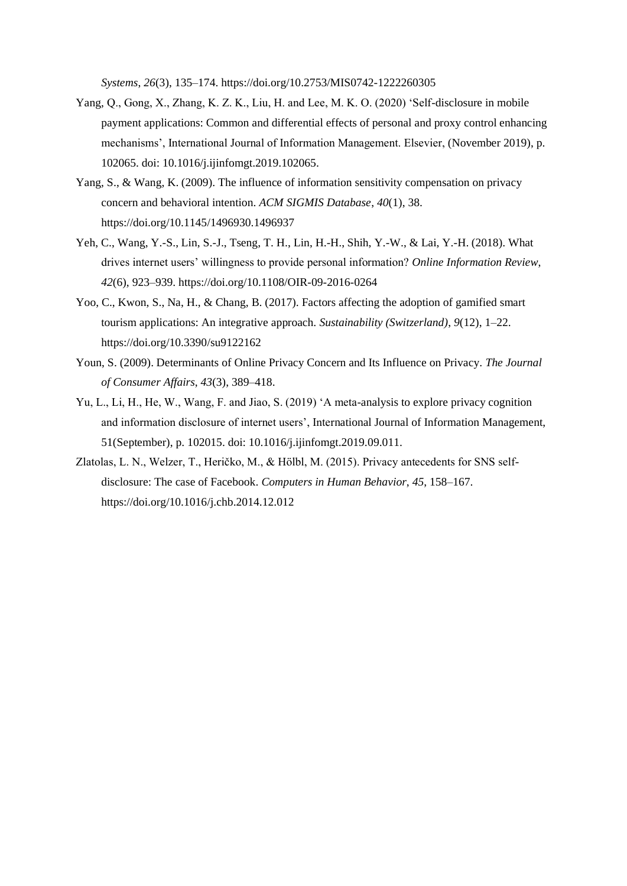*Systems*, *26*(3), 135–174. https://doi.org/10.2753/MIS0742-1222260305

- Yang, Q., Gong, X., Zhang, K. Z. K., Liu, H. and Lee, M. K. O. (2020) 'Self-disclosure in mobile payment applications: Common and differential effects of personal and proxy control enhancing mechanisms', International Journal of Information Management. Elsevier, (November 2019), p. 102065. doi: 10.1016/j.ijinfomgt.2019.102065.
- Yang, S., & Wang, K. (2009). The influence of information sensitivity compensation on privacy concern and behavioral intention. *ACM SIGMIS Database*, *40*(1), 38. https://doi.org/10.1145/1496930.1496937
- Yeh, C., Wang, Y.-S., Lin, S.-J., Tseng, T. H., Lin, H.-H., Shih, Y.-W., & Lai, Y.-H. (2018). What drives internet users' willingness to provide personal information? *Online Information Review*, *42*(6), 923–939. https://doi.org/10.1108/OIR-09-2016-0264
- Yoo, C., Kwon, S., Na, H., & Chang, B. (2017). Factors affecting the adoption of gamified smart tourism applications: An integrative approach. *Sustainability (Switzerland)*, *9*(12), 1–22. https://doi.org/10.3390/su9122162
- Youn, S. (2009). Determinants of Online Privacy Concern and Its Influence on Privacy. *The Journal of Consumer Affairs*, *43*(3), 389–418.
- Yu, L., Li, H., He, W., Wang, F. and Jiao, S. (2019) 'A meta-analysis to explore privacy cognition and information disclosure of internet users', International Journal of Information Management, 51(September), p. 102015. doi: 10.1016/j.ijinfomgt.2019.09.011.
- Zlatolas, L. N., Welzer, T., Heričko, M., & Hölbl, M. (2015). Privacy antecedents for SNS selfdisclosure: The case of Facebook. *Computers in Human Behavior*, *45*, 158–167. https://doi.org/10.1016/j.chb.2014.12.012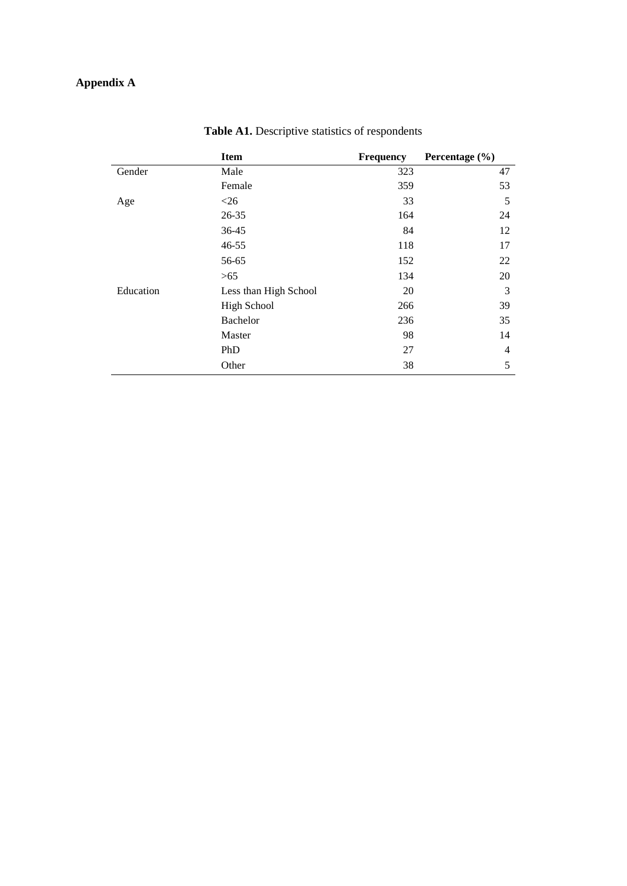# **Appendix A**

|           | <b>Item</b>           | <b>Frequency</b> | Percentage (%) |
|-----------|-----------------------|------------------|----------------|
| Gender    | Male                  | 323              | 47             |
|           | Female                | 359              | 53             |
| Age       | $<$ 26                | 33               | 5              |
|           | $26 - 35$             | 164              | 24             |
|           | 36-45                 | 84               | 12             |
|           | 46-55                 | 118              | 17             |
|           | 56-65                 | 152              | 22             |
|           | $>65$                 | 134              | 20             |
| Education | Less than High School | 20               | 3              |
|           | <b>High School</b>    | 266              | 39             |
|           | Bachelor              | 236              | 35             |
|           | Master                | 98               | 14             |
|           | PhD                   | 27               | 4              |
|           | Other                 | 38               | 5              |

**Table A1.** Descriptive statistics of respondents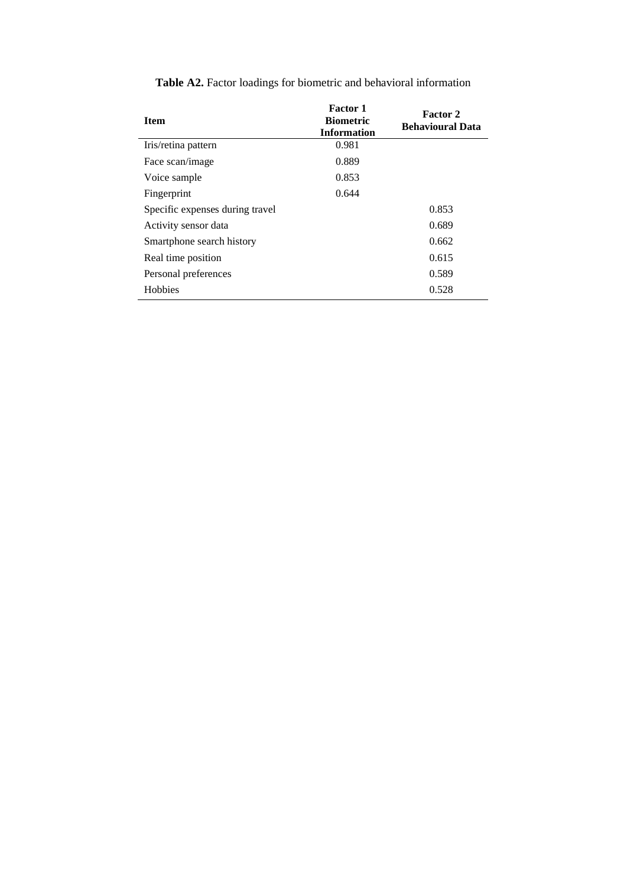| <b>Item</b>                     | Factor 1<br><b>Biometric</b><br><b>Information</b> | Factor 2<br><b>Behavioural Data</b> |
|---------------------------------|----------------------------------------------------|-------------------------------------|
| Iris/retina pattern             | 0.981                                              |                                     |
| Face scan/image                 | 0.889                                              |                                     |
| Voice sample                    | 0.853                                              |                                     |
| Fingerprint                     | 0.644                                              |                                     |
| Specific expenses during travel |                                                    | 0.853                               |
| Activity sensor data            |                                                    | 0.689                               |
| Smartphone search history       |                                                    | 0.662                               |
| Real time position              |                                                    | 0.615                               |
| Personal preferences            |                                                    | 0.589                               |
| Hobbies                         |                                                    | 0.528                               |

**Table A2.** Factor loadings for biometric and behavioral information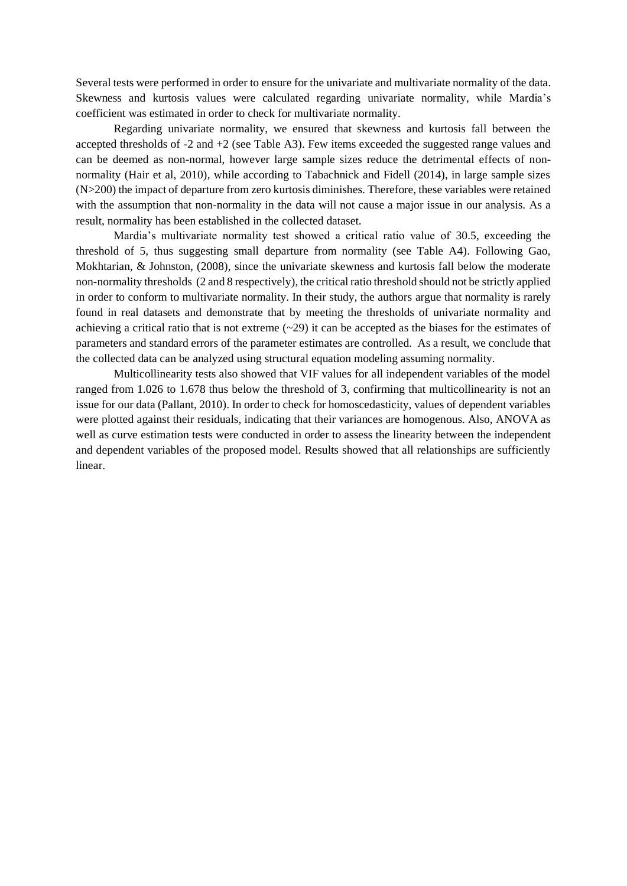Several tests were performed in order to ensure for the univariate and multivariate normality of the data. Skewness and kurtosis values were calculated regarding univariate normality, while Mardia's coefficient was estimated in order to check for multivariate normality.

Regarding univariate normality, we ensured that skewness and kurtosis fall between the accepted thresholds of -2 and +2 (see Table A3). Few items exceeded the suggested range values and can be deemed as non-normal, however large sample sizes reduce the detrimental effects of nonnormality (Hair et al, 2010), while according to Tabachnick and Fidell (2014), in large sample sizes (N>200) the impact of departure from zero kurtosis diminishes. Therefore, these variables were retained with the assumption that non-normality in the data will not cause a major issue in our analysis. As a result, normality has been established in the collected dataset.

Mardia's multivariate normality test showed a critical ratio value of 30.5, exceeding the threshold of 5, thus suggesting small departure from normality (see Table A4). Following Gao, Mokhtarian, & Johnston, (2008), since the univariate skewness and kurtosis fall below the moderate non-normality thresholds (2 and 8 respectively), the critical ratio threshold should not be strictly applied in order to conform to multivariate normality. In their study, the authors argue that normality is rarely found in real datasets and demonstrate that by meeting the thresholds of univariate normality and achieving a critical ratio that is not extreme  $(\sim 29)$  it can be accepted as the biases for the estimates of parameters and standard errors of the parameter estimates are controlled. As a result, we conclude that the collected data can be analyzed using structural equation modeling assuming normality.

Multicollinearity tests also showed that VIF values for all independent variables of the model ranged from 1.026 to 1.678 thus below the threshold of 3, confirming that multicollinearity is not an issue for our data (Pallant, 2010). In order to check for homoscedasticity, values of dependent variables were plotted against their residuals, indicating that their variances are homogenous. Also, ANOVA as well as curve estimation tests were conducted in order to assess the linearity between the independent and dependent variables of the proposed model. Results showed that all relationships are sufficiently linear.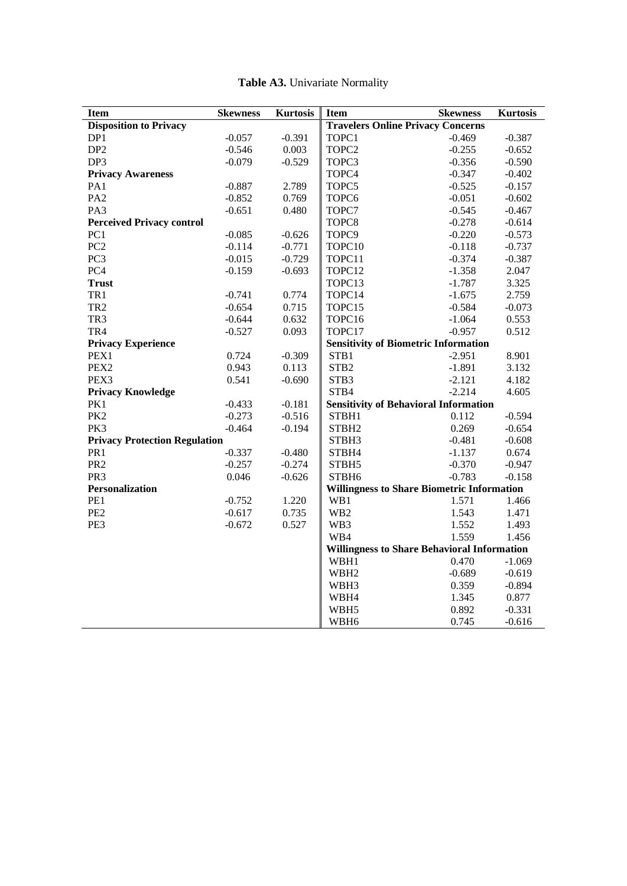| Item                                 | <b>Skewness</b> | <b>Kurtosis</b> | <b>Item</b>       | <b>Skewness</b>                                    | <b>Kurtosis</b> |
|--------------------------------------|-----------------|-----------------|-------------------|----------------------------------------------------|-----------------|
| <b>Disposition to Privacy</b>        |                 |                 |                   | <b>Travelers Online Privacy Concerns</b>           |                 |
| DP1                                  | $-0.057$        | $-0.391$        | TOPC1             | $-0.469$                                           | $-0.387$        |
| DP <sub>2</sub>                      | $-0.546$        | 0.003           | TOPC <sub>2</sub> | $-0.255$                                           | $-0.652$        |
| DP3                                  | $-0.079$        | $-0.529$        | TOPC3             | $-0.356$                                           | $-0.590$        |
| <b>Privacy Awareness</b>             |                 |                 | TOPC4             | $-0.347$                                           | $-0.402$        |
| PA1                                  | $-0.887$        | 2.789           | TOPC5             | $-0.525$                                           | $-0.157$        |
| PA <sub>2</sub>                      | $-0.852$        | 0.769           | TOPC <sub>6</sub> | $-0.051$                                           | $-0.602$        |
| PA3                                  | $-0.651$        | 0.480           | TOPC7             | $-0.545$                                           | $-0.467$        |
| <b>Perceived Privacy control</b>     |                 |                 | TOPC8             | $-0.278$                                           | $-0.614$        |
| PC1                                  | $-0.085$        | $-0.626$        | TOPC <sub>9</sub> | $-0.220$                                           | $-0.573$        |
| PC <sub>2</sub>                      | $-0.114$        | $-0.771$        | TOPC10            | $-0.118$                                           | $-0.737$        |
| PC3                                  | $-0.015$        | $-0.729$        | TOPC11            | $-0.374$                                           | $-0.387$        |
| PC <sub>4</sub>                      | $-0.159$        | $-0.693$        | TOPC12            | $-1.358$                                           | 2.047           |
| <b>Trust</b>                         |                 |                 | TOPC13            | $-1.787$                                           | 3.325           |
| TR1                                  | $-0.741$        | 0.774           | TOPC14            | $-1.675$                                           | 2.759           |
| TR <sub>2</sub>                      | $-0.654$        | 0.715           | TOPC15            | $-0.584$                                           | $-0.073$        |
| TR <sub>3</sub>                      | $-0.644$        | 0.632           | TOPC16            | $-1.064$                                           | 0.553           |
| TR4                                  | $-0.527$        | 0.093           | TOPC17            | $-0.957$                                           | 0.512           |
| <b>Privacy Experience</b>            |                 |                 |                   | <b>Sensitivity of Biometric Information</b>        |                 |
| PEX1                                 | 0.724           | $-0.309$        | STB1              | $-2.951$                                           | 8.901           |
| PEX <sub>2</sub>                     | 0.943           | 0.113           | STB <sub>2</sub>  | $-1.891$                                           | 3.132           |
| PEX3                                 | 0.541           | $-0.690$        | STB3              | $-2.121$                                           | 4.182           |
| <b>Privacy Knowledge</b>             |                 |                 | STB4              | $-2.214$                                           | 4.605           |
| PK1                                  | $-0.433$        | $-0.181$        |                   | <b>Sensitivity of Behavioral Information</b>       |                 |
| PK <sub>2</sub>                      | $-0.273$        | $-0.516$        | STBH1             | 0.112                                              | $-0.594$        |
| PK3                                  | $-0.464$        | $-0.194$        | STBH <sub>2</sub> | 0.269                                              | $-0.654$        |
| <b>Privacy Protection Regulation</b> |                 |                 | STBH3             | $-0.481$                                           | $-0.608$        |
| PR1                                  | $-0.337$        | $-0.480$        | STBH4             | $-1.137$                                           | 0.674           |
| PR <sub>2</sub>                      | $-0.257$        | $-0.274$        | STBH5             | $-0.370$                                           | $-0.947$        |
| PR <sub>3</sub>                      | 0.046           | $-0.626$        | STBH6             | $-0.783$                                           | $-0.158$        |
| <b>Personalization</b>               |                 |                 |                   | <b>Willingness to Share Biometric Information</b>  |                 |
| PE1                                  | $-0.752$        | 1.220           | WB1               | 1.571                                              | 1.466           |
| PE <sub>2</sub>                      | $-0.617$        | 0.735           | WB <sub>2</sub>   | 1.543                                              | 1.471           |
| PE3                                  | $-0.672$        | 0.527           | WB3               | 1.552                                              | 1.493           |
|                                      |                 |                 | WB4               | 1.559                                              | 1.456           |
|                                      |                 |                 |                   | <b>Willingness to Share Behavioral Information</b> |                 |
|                                      |                 |                 | WBH1              | 0.470                                              | $-1.069$        |
|                                      |                 |                 | WBH <sub>2</sub>  | $-0.689$                                           | $-0.619$        |
|                                      |                 |                 | WBH3              | 0.359                                              | $-0.894$        |
|                                      |                 |                 | WBH4              | 1.345                                              | 0.877           |
|                                      |                 |                 | WBH5              | 0.892                                              | $-0.331$        |
|                                      |                 |                 | WBH <sub>6</sub>  | 0.745                                              | $-0.616$        |
|                                      |                 |                 |                   |                                                    |                 |

**Table A3.** Univariate Normality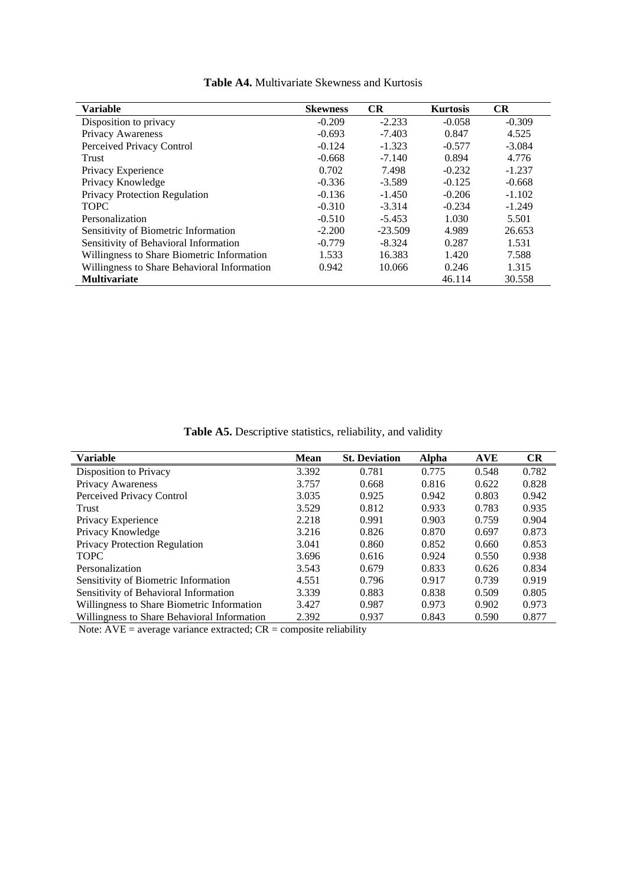| <b>Variable</b>                             | <b>Skewness</b> | CR        | <b>Kurtosis</b> | CR       |
|---------------------------------------------|-----------------|-----------|-----------------|----------|
| Disposition to privacy                      | $-0.209$        | $-2.233$  | $-0.058$        | $-0.309$ |
| Privacy Awareness                           | $-0.693$        | $-7.403$  | 0.847           | 4.525    |
| Perceived Privacy Control                   | $-0.124$        | $-1.323$  | $-0.577$        | $-3.084$ |
| Trust                                       | $-0.668$        | $-7.140$  | 0.894           | 4.776    |
| Privacy Experience                          | 0.702           | 7.498     | $-0.232$        | $-1.237$ |
| Privacy Knowledge                           | $-0.336$        | $-3.589$  | $-0.125$        | $-0.668$ |
| Privacy Protection Regulation               | $-0.136$        | $-1.450$  | $-0.206$        | $-1.102$ |
| <b>TOPC</b>                                 | $-0.310$        | $-3.314$  | $-0.234$        | $-1.249$ |
| Personalization                             | $-0.510$        | $-5.453$  | 1.030           | 5.501    |
| Sensitivity of Biometric Information        | $-2.200$        | $-23.509$ | 4.989           | 26.653   |
| Sensitivity of Behavioral Information       | $-0.779$        | $-8.324$  | 0.287           | 1.531    |
| Willingness to Share Biometric Information  | 1.533           | 16.383    | 1.420           | 7.588    |
| Willingness to Share Behavioral Information | 0.942           | 10.066    | 0.246           | 1.315    |
| <b>Multivariate</b>                         |                 |           | 46.114          | 30.558   |

**Table A4.** Multivariate Skewness and Kurtosis

**Table A5.** Descriptive statistics, reliability, and validity

| <b>Variable</b>                             | <b>Mean</b> | <b>St. Deviation</b> | <b>Alpha</b> | <b>AVE</b> | <b>CR</b> |
|---------------------------------------------|-------------|----------------------|--------------|------------|-----------|
| Disposition to Privacy                      | 3.392       | 0.781                | 0.775        | 0.548      | 0.782     |
| <b>Privacy Awareness</b>                    | 3.757       | 0.668                | 0.816        | 0.622      | 0.828     |
| Perceived Privacy Control                   | 3.035       | 0.925                | 0.942        | 0.803      | 0.942     |
| Trust                                       | 3.529       | 0.812                | 0.933        | 0.783      | 0.935     |
| Privacy Experience                          | 2.218       | 0.991                | 0.903        | 0.759      | 0.904     |
| Privacy Knowledge                           | 3.216       | 0.826                | 0.870        | 0.697      | 0.873     |
| Privacy Protection Regulation               | 3.041       | 0.860                | 0.852        | 0.660      | 0.853     |
| <b>TOPC</b>                                 | 3.696       | 0.616                | 0.924        | 0.550      | 0.938     |
| Personalization                             | 3.543       | 0.679                | 0.833        | 0.626      | 0.834     |
| Sensitivity of Biometric Information        | 4.551       | 0.796                | 0.917        | 0.739      | 0.919     |
| Sensitivity of Behavioral Information       | 3.339       | 0.883                | 0.838        | 0.509      | 0.805     |
| Willingness to Share Biometric Information  | 3.427       | 0.987                | 0.973        | 0.902      | 0.973     |
| Willingness to Share Behavioral Information | 2.392       | 0.937                | 0.843        | 0.590      | 0.877     |

Note:  $AVE = average variance extracted$ ;  $CR = composite reliability$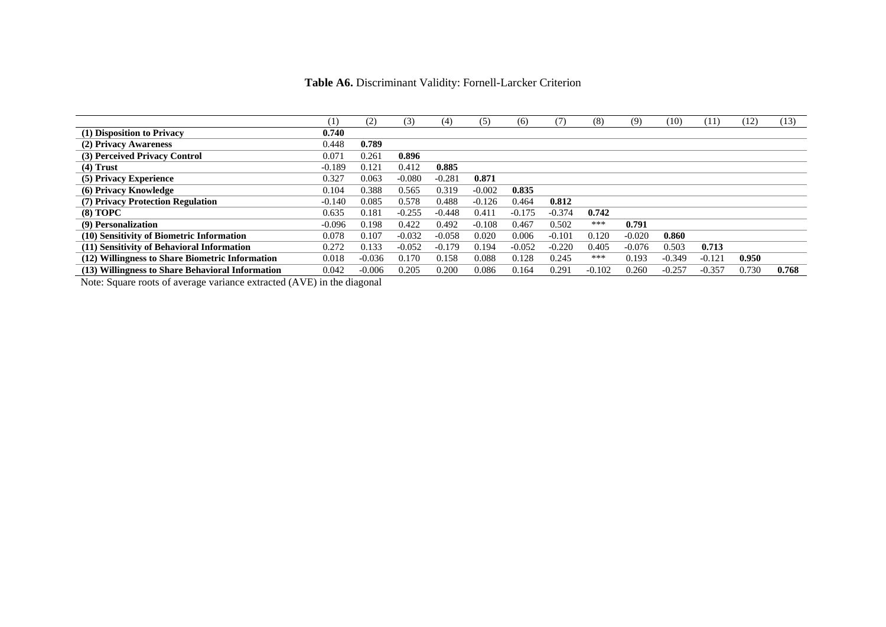|                                                  | (1)      | (2)      | (3)      | (4)      | (5)      | (6)      |          | (8)      | (9)      | (10)     | (11)     | (12)  | (13)  |
|--------------------------------------------------|----------|----------|----------|----------|----------|----------|----------|----------|----------|----------|----------|-------|-------|
| (1) Disposition to Privacy                       | 0.740    |          |          |          |          |          |          |          |          |          |          |       |       |
| (2) Privacy Awareness                            | 0.448    | 0.789    |          |          |          |          |          |          |          |          |          |       |       |
| (3) Perceived Privacy Control                    | 0.071    | 0.261    | 0.896    |          |          |          |          |          |          |          |          |       |       |
| $(4)$ Trust                                      | $-0.189$ | 0.121    | 0.412    | 0.885    |          |          |          |          |          |          |          |       |       |
| (5) Privacy Experience                           | 0.327    | 0.063    | $-0.080$ | $-0.281$ | 0.871    |          |          |          |          |          |          |       |       |
| (6) Privacy Knowledge                            | 0.104    | 0.388    | 0.565    | 0.319    | $-0.002$ | 0.835    |          |          |          |          |          |       |       |
| (7) Privacy Protection Regulation                | $-0.140$ | 0.085    | 0.578    | 0.488    | $-0.126$ | 0.464    | 0.812    |          |          |          |          |       |       |
| (8) TOPC                                         | 0.635    | 0.181    | $-0.255$ | $-0.448$ | 0.411    | $-0.175$ | $-0.374$ | 0.742    |          |          |          |       |       |
| (9) Personalization                              | $-0.096$ | 0.198    | 0.422    | 0.492    | $-0.108$ | 0.467    | 0.502    | ***      | 0.791    |          |          |       |       |
| (10) Sensitivity of Biometric Information        | 0.078    | 0.107    | $-0.032$ | $-0.058$ | 0.020    | 0.006    | $-0.101$ | 0.120    | $-0.020$ | 0.860    |          |       |       |
| (11) Sensitivity of Behavioral Information       | 0.272    | 0.133    | $-0.052$ | $-0.179$ | 0.194    | $-0.052$ | $-0.220$ | 0.405    | $-0.076$ | 0.503    | 0.713    |       |       |
| (12) Willingness to Share Biometric Information  | 0.018    | $-0.036$ | 0.170    | 0.158    | 0.088    | 0.128    | 0.245    | ***      | 0.193    | $-0.349$ | $-0.121$ | 0.950 |       |
| (13) Willingness to Share Behavioral Information | 0.042    | $-0.006$ | 0.205    | 0.200    | 0.086    | 0.164    | 0.291    | $-0.102$ | 0.260    | $-0.257$ | $-0.357$ | 0.730 | 0.768 |

**Table A6.** Discriminant Validity: Fornell-Larcker Criterion

Note: Square roots of average variance extracted (AVE) in the diagonal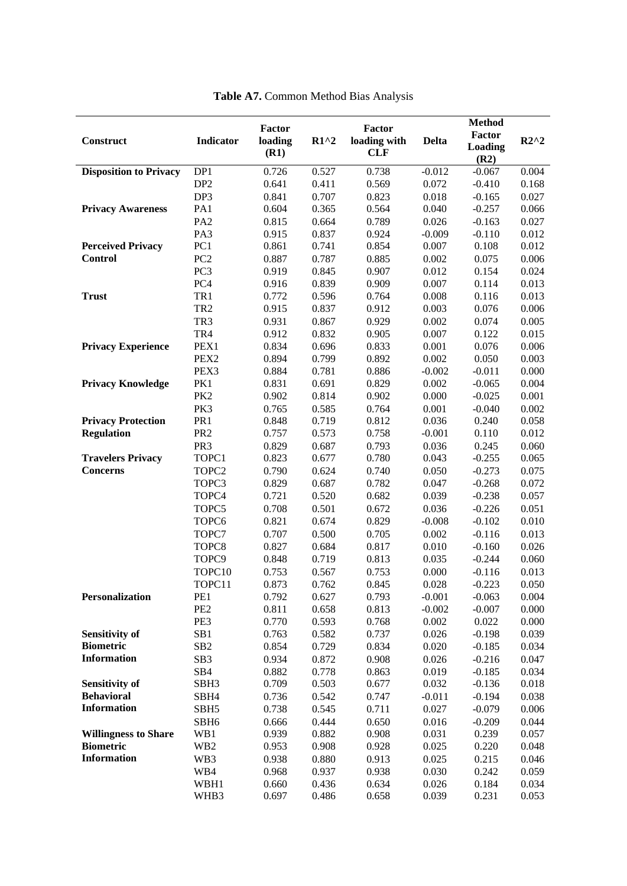| Construct                     | Indicator         | Factor<br>loading<br>(R1) | $R1^2$ | Factor<br>loading with<br><b>CLF</b> | <b>Delta</b> | <b>Method</b><br>Factor<br>Loading<br>(R2) | $R2^2$ |
|-------------------------------|-------------------|---------------------------|--------|--------------------------------------|--------------|--------------------------------------------|--------|
| <b>Disposition to Privacy</b> | DP1               | 0.726                     | 0.527  | 0.738                                | $-0.012$     | $-0.067$                                   | 0.004  |
|                               | DP <sub>2</sub>   | 0.641                     | 0.411  | 0.569                                | 0.072        | $-0.410$                                   | 0.168  |
|                               | DP3               | 0.841                     | 0.707  | 0.823                                | 0.018        | $-0.165$                                   | 0.027  |
| <b>Privacy Awareness</b>      | PA1               | 0.604                     | 0.365  | 0.564                                | 0.040        | $-0.257$                                   | 0.066  |
|                               | PA <sub>2</sub>   | 0.815                     | 0.664  | 0.789                                | 0.026        | $-0.163$                                   | 0.027  |
|                               | PA3               | 0.915                     | 0.837  | 0.924                                | $-0.009$     | $-0.110$                                   | 0.012  |
| <b>Perceived Privacy</b>      | PC1               | 0.861                     | 0.741  | 0.854                                | 0.007        | 0.108                                      | 0.012  |
| <b>Control</b>                | PC <sub>2</sub>   | 0.887                     | 0.787  | 0.885                                | 0.002        | 0.075                                      | 0.006  |
|                               | PC <sub>3</sub>   | 0.919                     | 0.845  | 0.907                                | 0.012        | 0.154                                      | 0.024  |
|                               | PC4               | 0.916                     | 0.839  | 0.909                                | 0.007        | 0.114                                      | 0.013  |
| <b>Trust</b>                  | TR1               | 0.772                     | 0.596  | 0.764                                | 0.008        | 0.116                                      | 0.013  |
|                               | TR <sub>2</sub>   | 0.915                     | 0.837  | 0.912                                | 0.003        | 0.076                                      | 0.006  |
|                               |                   |                           |        |                                      |              |                                            |        |
|                               | TR <sub>3</sub>   | 0.931                     | 0.867  | 0.929                                | 0.002        | 0.074                                      | 0.005  |
|                               | TR4               | 0.912                     | 0.832  | 0.905                                | 0.007        | 0.122                                      | 0.015  |
| <b>Privacy Experience</b>     | PEX1              | 0.834                     | 0.696  | 0.833                                | 0.001        | 0.076                                      | 0.006  |
|                               | PEX <sub>2</sub>  | 0.894                     | 0.799  | 0.892                                | 0.002        | 0.050                                      | 0.003  |
|                               | PEX3              | 0.884                     | 0.781  | 0.886                                | $-0.002$     | $-0.011$                                   | 0.000  |
| <b>Privacy Knowledge</b>      | PK1               | 0.831                     | 0.691  | 0.829                                | 0.002        | $-0.065$                                   | 0.004  |
|                               | PK <sub>2</sub>   | 0.902                     | 0.814  | 0.902                                | 0.000        | $-0.025$                                   | 0.001  |
|                               | PK3               | 0.765                     | 0.585  | 0.764                                | 0.001        | $-0.040$                                   | 0.002  |
| <b>Privacy Protection</b>     | PR1               | 0.848                     | 0.719  | 0.812                                | 0.036        | 0.240                                      | 0.058  |
| <b>Regulation</b>             | PR <sub>2</sub>   | 0.757                     | 0.573  | 0.758                                | $-0.001$     | 0.110                                      | 0.012  |
|                               | PR <sub>3</sub>   | 0.829                     | 0.687  | 0.793                                | 0.036        | 0.245                                      | 0.060  |
| <b>Travelers Privacy</b>      | TOPC1             | 0.823                     | 0.677  | 0.780                                | 0.043        | $-0.255$                                   | 0.065  |
| <b>Concerns</b>               | TOPC <sub>2</sub> | 0.790                     | 0.624  | 0.740                                | 0.050        | $-0.273$                                   | 0.075  |
|                               | TOPC3             | 0.829                     | 0.687  | 0.782                                | 0.047        | $-0.268$                                   | 0.072  |
|                               | TOPC4             | 0.721                     | 0.520  | 0.682                                | 0.039        | $-0.238$                                   | 0.057  |
|                               | TOPC5             | 0.708                     | 0.501  | 0.672                                | 0.036        | $-0.226$                                   | 0.051  |
|                               | TOPC <sub>6</sub> | 0.821                     | 0.674  | 0.829                                | $-0.008$     | $-0.102$                                   | 0.010  |
|                               | TOPC7             | 0.707                     | 0.500  | 0.705                                | 0.002        | $-0.116$                                   | 0.013  |
|                               | TOPC <sub>8</sub> | 0.827                     | 0.684  | 0.817                                | 0.010        | $-0.160$                                   | 0.026  |
|                               | TOPC <sub>9</sub> | 0.848                     | 0.719  | 0.813                                | 0.035        | $-0.244$                                   | 0.060  |
|                               | TOPC10            | 0.753                     | 0.567  | 0.753                                | 0.000        | $-0.116$                                   | 0.013  |
|                               | TOPC11            | 0.873                     | 0.762  | 0.845                                | 0.028        | $-0.223$                                   | 0.050  |
| <b>Personalization</b>        | PE1               | 0.792                     | 0.627  | 0.793                                | $-0.001$     | $-0.063$                                   | 0.004  |
|                               | PE <sub>2</sub>   | 0.811                     | 0.658  | 0.813                                | $-0.002$     | $-0.007$                                   | 0.000  |
|                               | PE3               | 0.770                     | 0.593  | 0.768                                | 0.002        | 0.022                                      | 0.000  |
| <b>Sensitivity of</b>         | SB1               | 0.763                     | 0.582  | 0.737                                | 0.026        | $-0.198$                                   | 0.039  |
| <b>Biometric</b>              | SB <sub>2</sub>   | 0.854                     | 0.729  | 0.834                                | 0.020        | $-0.185$                                   | 0.034  |
| <b>Information</b>            | SB <sub>3</sub>   | 0.934                     | 0.872  | 0.908                                | 0.026        | $-0.216$                                   | 0.047  |
|                               | SB4               | 0.882                     | 0.778  | 0.863                                | 0.019        | $-0.185$                                   | 0.034  |
| <b>Sensitivity of</b>         | SBH3              | 0.709                     | 0.503  | 0.677                                | 0.032        | $-0.136$                                   | 0.018  |
| <b>Behavioral</b>             | SBH4              | 0.736                     | 0.542  | 0.747                                | $-0.011$     | $-0.194$                                   | 0.038  |
| <b>Information</b>            | SBH <sub>5</sub>  | 0.738                     | 0.545  | 0.711                                | 0.027        | $-0.079$                                   | 0.006  |
|                               | SBH <sub>6</sub>  | 0.666                     | 0.444  | 0.650                                | 0.016        | $-0.209$                                   | 0.044  |
| <b>Willingness to Share</b>   | WB1               | 0.939                     | 0.882  | 0.908                                | 0.031        | 0.239                                      | 0.057  |
| <b>Biometric</b>              | WB <sub>2</sub>   | 0.953                     | 0.908  | 0.928                                | 0.025        | 0.220                                      | 0.048  |
| <b>Information</b>            |                   |                           |        |                                      |              |                                            |        |
|                               | WB3               | 0.938                     | 0.880  | 0.913                                | 0.025        | 0.215                                      | 0.046  |
|                               | WB4               | 0.968                     | 0.937  | 0.938                                | 0.030        | 0.242                                      | 0.059  |
|                               | WBH1              | 0.660                     | 0.436  | 0.634                                | 0.026        | 0.184                                      | 0.034  |
|                               | WHB3              | 0.697                     | 0.486  | 0.658                                | 0.039        | 0.231                                      | 0.053  |

**Table A7.** Common Method Bias Analysis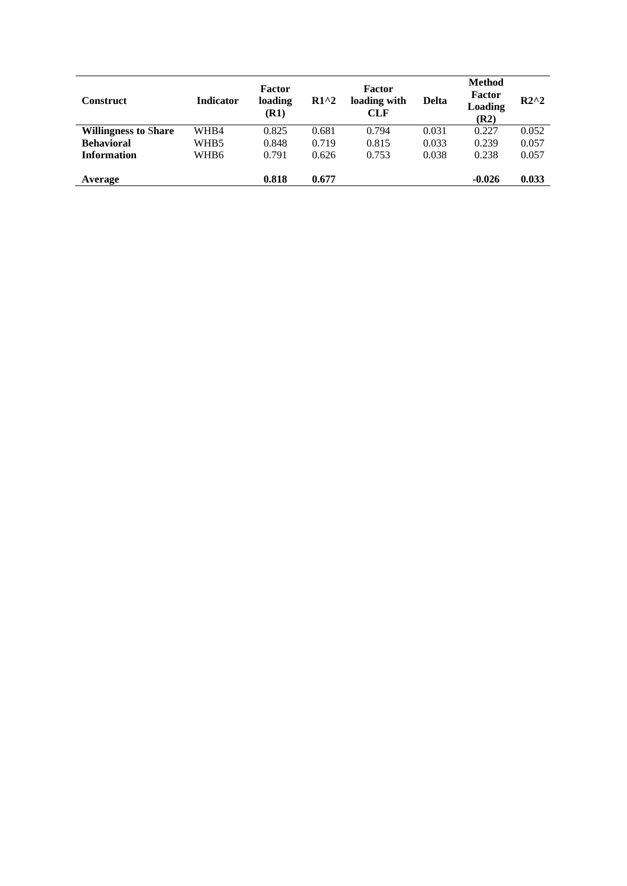| <b>Construct</b>            | <b>Indicator</b> | <b>Factor</b><br>loading<br>(R1) | $R1^2$ | Factor<br>loading with<br><b>CLF</b> | <b>Delta</b> | <b>Method</b><br>Factor<br>Loading<br>(R2) | $R2^2$ |
|-----------------------------|------------------|----------------------------------|--------|--------------------------------------|--------------|--------------------------------------------|--------|
| <b>Willingness to Share</b> | WH <sub>B4</sub> | 0.825                            | 0.681  | 0.794                                | 0.031        | 0.227                                      | 0.052  |
| <b>Behavioral</b>           | WHB <sub>5</sub> | 0.848                            | 0.719  | 0.815                                | 0.033        | 0.239                                      | 0.057  |
| <b>Information</b>          | WHB6             | 0.791                            | 0.626  | 0.753                                | 0.038        | 0.238                                      | 0.057  |
| Average                     |                  | 0.818                            | 0.677  |                                      |              | $-0.026$                                   | 0.033  |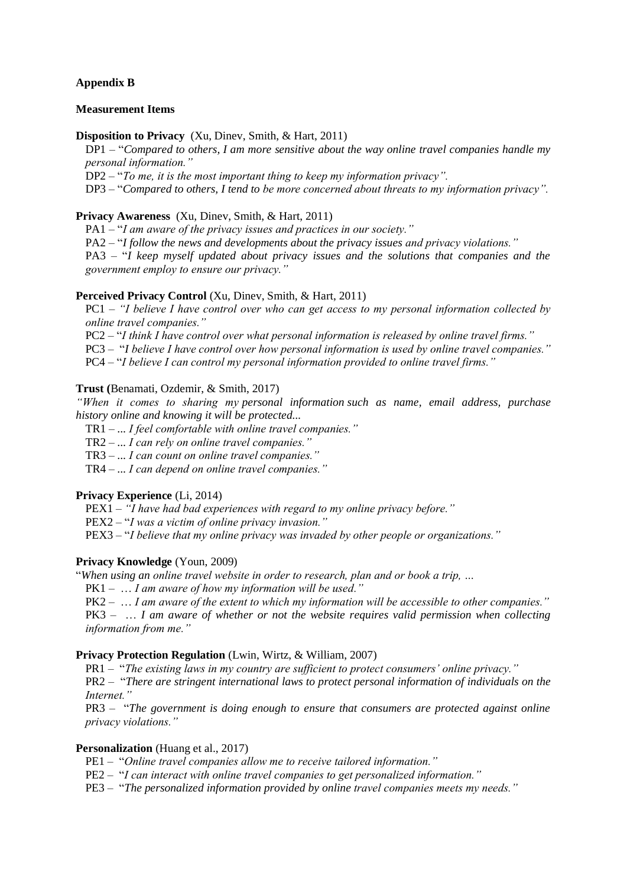# **Appendix B**

## **Measurement Items**

**Disposition to Privacy** (Xu, Dinev, Smith, & Hart, 2011)

DP1 – "*Compared to others, I am more sensitive about the way online travel companies handle my personal information."*

DP2 – "*To me, it is the most important thing to keep my information privacy".*

DP3 – "*Compared to others, I tend to be more concerned about threats to my information privacy".*

## **Privacy Awareness** (Xu, Dinev, Smith, & Hart, 2011)

PA1 – "*I am aware of the privacy issues and practices in our society."*

PA2 – "*I follow the news and developments about the privacy issues and privacy violations."*

PA3 – "*I keep myself updated about privacy issues and the solutions that companies and the government employ to ensure our privacy."*

## **Perceived Privacy Control** (Xu, Dinev, Smith, & Hart, 2011)

PC1 – *"I believe I have control over who can get access to my personal information collected by online travel companies."*

PC2 – "*I think I have control over what personal information is released by online travel firms."*

PC3 – "*I believe I have control over how personal information is used by online travel companies."*

PC4 – "*I believe I can control my personal information provided to online travel firms."*

## **Trust (**Benamati, Ozdemir, & Smith, 2017)

*"When it comes to sharing my personal information such as name, email address, purchase history online and knowing it will be protected...*

TR1 *– ... I feel comfortable with online travel companies."*

TR2 *– ... I can rely on online travel companies."*

TR3 *– ... I can count on online travel companies."*

TR4 *– ... I can depend on online travel companies."*

## **Privacy Experience** (Li, 2014)

PEX1 – *"I have had bad experiences with regard to my online privacy before."*

PEX2 – "*I was a victim of online privacy invasion."*

PEX3 – "*I believe that my online privacy was invaded by other people or organizations."*

## **Privacy Knowledge** (Youn, 2009)

"*When using an online travel website in order to research, plan and or book a trip, …*

PK1 – … *I am aware of how my information will be used."*

PK2 – … *I am aware of the extent to which my information will be accessible to other companies."*

PK3 – ... *I am aware of whether or not the website requires valid permission when collecting information from me."*

## **Privacy Protection Regulation** (Lwin, Wirtz, & William, 2007)

PR1 – "*The existing laws in my country are sufficient to protect consumers' online privacy."*

PR2 – "*There are stringent international laws to protect personal information of individuals on the Internet."*

PR3 – "*The government is doing enough to ensure that consumers are protected against online privacy violations."*

## **Personalization** (Huang et al., 2017)

PE1 – "*Online travel companies allow me to receive tailored information."*

PE2 – "*I can interact with online travel companies to get personalized information."*

PE3 – "*The personalized information provided by online travel companies meets my needs."*